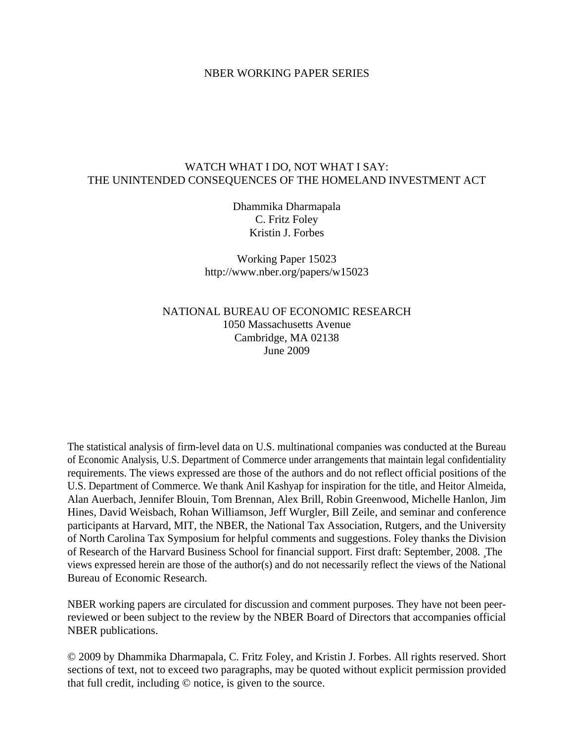# NBER WORKING PAPER SERIES

# WATCH WHAT I DO, NOT WHAT I SAY: THE UNINTENDED CONSEQUENCES OF THE HOMELAND INVESTMENT ACT

Dhammika Dharmapala C. Fritz Foley Kristin J. Forbes

Working Paper 15023 http://www.nber.org/papers/w15023

NATIONAL BUREAU OF ECONOMIC RESEARCH 1050 Massachusetts Avenue Cambridge, MA 02138 June 2009

The statistical analysis of firm-level data on U.S. multinational companies was conducted at the Bureau of Economic Analysis, U.S. Department of Commerce under arrangements that maintain legal confidentiality requirements. The views expressed are those of the authors and do not reflect official positions of the U.S. Department of Commerce. We thank Anil Kashyap for inspiration for the title, and Heitor Almeida, Alan Auerbach, Jennifer Blouin, Tom Brennan, Alex Brill, Robin Greenwood, Michelle Hanlon, Jim Hines, David Weisbach, Rohan Williamson, Jeff Wurgler, Bill Zeile, and seminar and conference participants at Harvard, MIT, the NBER, the National Tax Association, Rutgers, and the University of North Carolina Tax Symposium for helpful comments and suggestions. Foley thanks the Division of Research of the Harvard Business School for financial support. First draft: September, 2008. The views expressed herein are those of the author(s) and do not necessarily reflect the views of the National Bureau of Economic Research.

NBER working papers are circulated for discussion and comment purposes. They have not been peerreviewed or been subject to the review by the NBER Board of Directors that accompanies official NBER publications.

© 2009 by Dhammika Dharmapala, C. Fritz Foley, and Kristin J. Forbes. All rights reserved. Short sections of text, not to exceed two paragraphs, may be quoted without explicit permission provided that full credit, including © notice, is given to the source.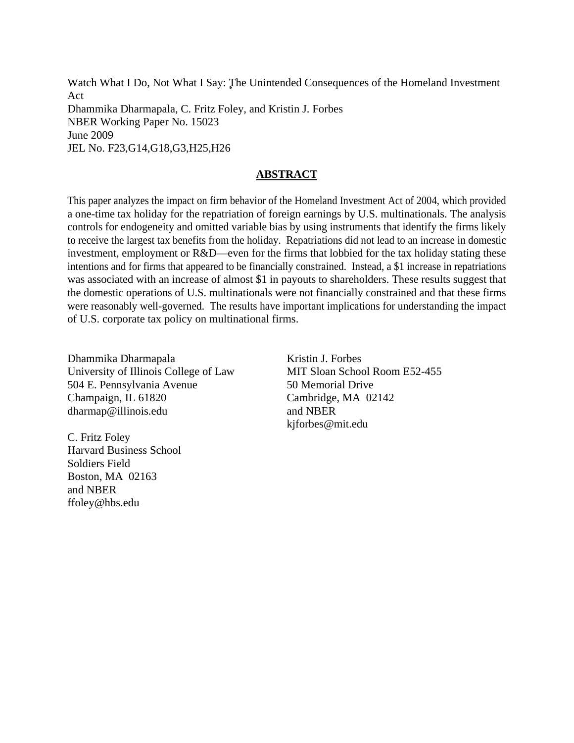Watch What I Do, Not What I Say: The Unintended Consequences of the Homeland Investment Act Dhammika Dharmapala, C. Fritz Foley, and Kristin J. Forbes NBER Working Paper No. 15023 June 2009 JEL No. F23,G14,G18,G3,H25,H26

# **ABSTRACT**

This paper analyzes the impact on firm behavior of the Homeland Investment Act of 2004, which provided a one-time tax holiday for the repatriation of foreign earnings by U.S. multinationals. The analysis controls for endogeneity and omitted variable bias by using instruments that identify the firms likely to receive the largest tax benefits from the holiday. Repatriations did not lead to an increase in domestic investment, employment or R&D—even for the firms that lobbied for the tax holiday stating these intentions and for firms that appeared to be financially constrained. Instead, a \$1 increase in repatriations was associated with an increase of almost \$1 in payouts to shareholders. These results suggest that the domestic operations of U.S. multinationals were not financially constrained and that these firms were reasonably well-governed. The results have important implications for understanding the impact of U.S. corporate tax policy on multinational firms.

Dhammika Dharmapala University of Illinois College of Law 504 E. Pennsylvania Avenue Champaign, IL 61820 dharmap@illinois.edu

C. Fritz Foley Harvard Business School Soldiers Field Boston, MA 02163 and NBER ffoley@hbs.edu

Kristin J. Forbes MIT Sloan School Room E52-455 50 Memorial Drive Cambridge, MA 02142 and NBER kjforbes@mit.edu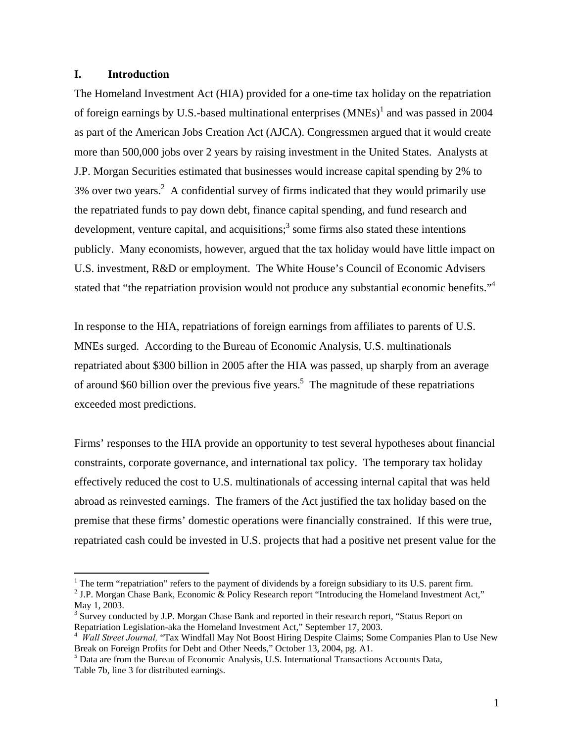# **I. Introduction**

 $\overline{a}$ 

The Homeland Investment Act (HIA) provided for a one-time tax holiday on the repatriation of foreign earnings by U.S.-based multinational enterprises  $(MNEs)^1$  and was passed in 2004 as part of the American Jobs Creation Act (AJCA). Congressmen argued that it would create more than 500,000 jobs over 2 years by raising investment in the United States. Analysts at J.P. Morgan Securities estimated that businesses would increase capital spending by 2% to 3% over two years.<sup>2</sup> A confidential survey of firms indicated that they would primarily use the repatriated funds to pay down debt, finance capital spending, and fund research and development, venture capital, and acquisitions;<sup>3</sup> some firms also stated these intentions publicly. Many economists, however, argued that the tax holiday would have little impact on U.S. investment, R&D or employment. The White House's Council of Economic Advisers stated that "the repatriation provision would not produce any substantial economic benefits."<sup>4</sup>

In response to the HIA, repatriations of foreign earnings from affiliates to parents of U.S. MNEs surged. According to the Bureau of Economic Analysis, U.S. multinationals repatriated about \$300 billion in 2005 after the HIA was passed, up sharply from an average of around \$60 billion over the previous five years.<sup>5</sup> The magnitude of these repatriations exceeded most predictions.

Firms' responses to the HIA provide an opportunity to test several hypotheses about financial constraints, corporate governance, and international tax policy. The temporary tax holiday effectively reduced the cost to U.S. multinationals of accessing internal capital that was held abroad as reinvested earnings. The framers of the Act justified the tax holiday based on the premise that these firms' domestic operations were financially constrained. If this were true, repatriated cash could be invested in U.S. projects that had a positive net present value for the

<sup>&</sup>lt;sup>1</sup> The term "repatriation" refers to the payment of dividends by a foreign subsidiary to its U.S. parent firm.

<sup>&</sup>lt;sup>2</sup> J.P. Morgan Chase Bank, Economic & Policy Research report "Introducing the Homeland Investment Act," May 1, 2003.

<sup>&</sup>lt;sup>3</sup> Survey conducted by J.P. Morgan Chase Bank and reported in their research report, "Status Report on Repatriation Legislation-aka the Homeland Investment Act," September 17, 2003.

<sup>4</sup> *Wall Street Journal,* "Tax Windfall May Not Boost Hiring Despite Claims; Some Companies Plan to Use New Break on Foreign Profits for Debt and Other Needs," October 13, 2004, pg. A1.

<sup>&</sup>lt;sup>5</sup> Data are from the Bureau of Economic Analysis, U.S. International Transactions Accounts Data, Table 7b, line 3 for distributed earnings.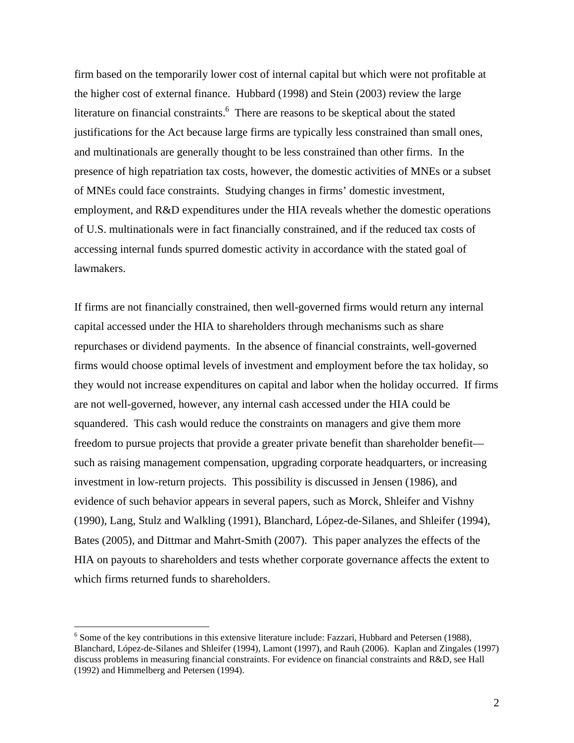firm based on the temporarily lower cost of internal capital but which were not profitable at the higher cost of external finance. Hubbard (1998) and Stein (2003) review the large literature on financial constraints.  $6$  There are reasons to be skeptical about the stated justifications for the Act because large firms are typically less constrained than small ones, and multinationals are generally thought to be less constrained than other firms. In the presence of high repatriation tax costs, however, the domestic activities of MNEs or a subset of MNEs could face constraints. Studying changes in firms' domestic investment, employment, and R&D expenditures under the HIA reveals whether the domestic operations of U.S. multinationals were in fact financially constrained, and if the reduced tax costs of accessing internal funds spurred domestic activity in accordance with the stated goal of lawmakers.

If firms are not financially constrained, then well-governed firms would return any internal capital accessed under the HIA to shareholders through mechanisms such as share repurchases or dividend payments. In the absence of financial constraints, well-governed firms would choose optimal levels of investment and employment before the tax holiday, so they would not increase expenditures on capital and labor when the holiday occurred. If firms are not well-governed, however, any internal cash accessed under the HIA could be squandered. This cash would reduce the constraints on managers and give them more freedom to pursue projects that provide a greater private benefit than shareholder benefit such as raising management compensation, upgrading corporate headquarters, or increasing investment in low-return projects. This possibility is discussed in Jensen (1986), and evidence of such behavior appears in several papers, such as Morck, Shleifer and Vishny (1990), Lang, Stulz and Walkling (1991), Blanchard, López-de-Silanes, and Shleifer (1994), Bates (2005), and Dittmar and Mahrt-Smith (2007). This paper analyzes the effects of the HIA on payouts to shareholders and tests whether corporate governance affects the extent to which firms returned funds to shareholders.

 $6$  Some of the key contributions in this extensive literature include: Fazzari, Hubbard and Petersen (1988), Blanchard, López-de-Silanes and Shleifer (1994), Lamont (1997), and Rauh (2006). Kaplan and Zingales (1997) discuss problems in measuring financial constraints. For evidence on financial constraints and R&D, see Hall (1992) and Himmelberg and Petersen (1994).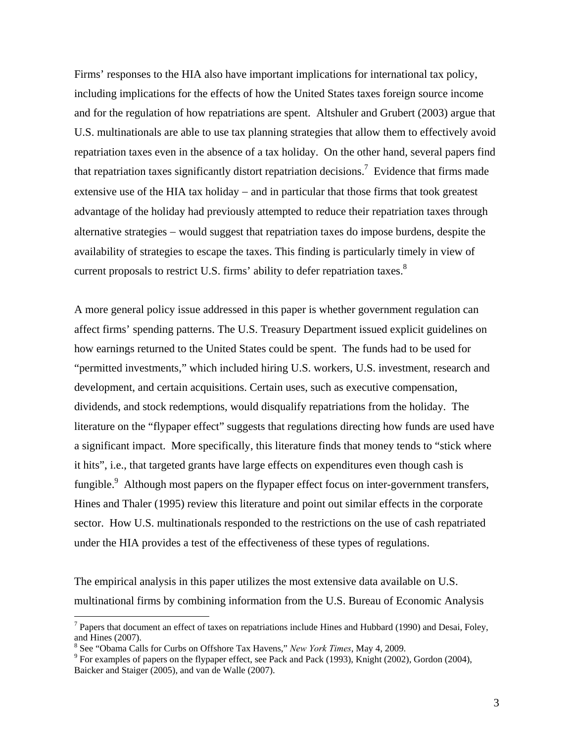Firms' responses to the HIA also have important implications for international tax policy, including implications for the effects of how the United States taxes foreign source income and for the regulation of how repatriations are spent. Altshuler and Grubert (2003) argue that U.S. multinationals are able to use tax planning strategies that allow them to effectively avoid repatriation taxes even in the absence of a tax holiday. On the other hand, several papers find that repatriation taxes significantly distort repatriation decisions.<sup>7</sup> Evidence that firms made extensive use of the HIA tax holiday  $-$  and in particular that those firms that took greatest advantage of the holiday had previously attempted to reduce their repatriation taxes through alternative strategies – would suggest that repatriation taxes do impose burdens, despite the availability of strategies to escape the taxes. This finding is particularly timely in view of current proposals to restrict U.S. firms' ability to defer repatriation taxes.<sup>8</sup>

A more general policy issue addressed in this paper is whether government regulation can affect firms' spending patterns. The U.S. Treasury Department issued explicit guidelines on how earnings returned to the United States could be spent. The funds had to be used for "permitted investments," which included hiring U.S. workers, U.S. investment, research and development, and certain acquisitions. Certain uses, such as executive compensation, dividends, and stock redemptions, would disqualify repatriations from the holiday. The literature on the "flypaper effect" suggests that regulations directing how funds are used have a significant impact. More specifically, this literature finds that money tends to "stick where it hits", i.e., that targeted grants have large effects on expenditures even though cash is fungible.<sup>9</sup> Although most papers on the flypaper effect focus on inter-government transfers, Hines and Thaler (1995) review this literature and point out similar effects in the corporate sector. How U.S. multinationals responded to the restrictions on the use of cash repatriated under the HIA provides a test of the effectiveness of these types of regulations.

The empirical analysis in this paper utilizes the most extensive data available on U.S. multinational firms by combining information from the U.S. Bureau of Economic Analysis

 $^7$  Papers that document an effect of taxes on repatriations include Hines and Hubbard (1990) and Desai, Foley, and Hines (2007).

<sup>&</sup>lt;sup>8</sup> See "Obama Calls for Curbs on Offshore Tax Havens," *New York Times*, May 4, 2009.

<sup>&</sup>lt;sup>9</sup> For examples of papers on the flypaper effect, see Pack and Pack (1993), Knight (2002), Gordon (2004), Baicker and Staiger (2005), and van de Walle (2007).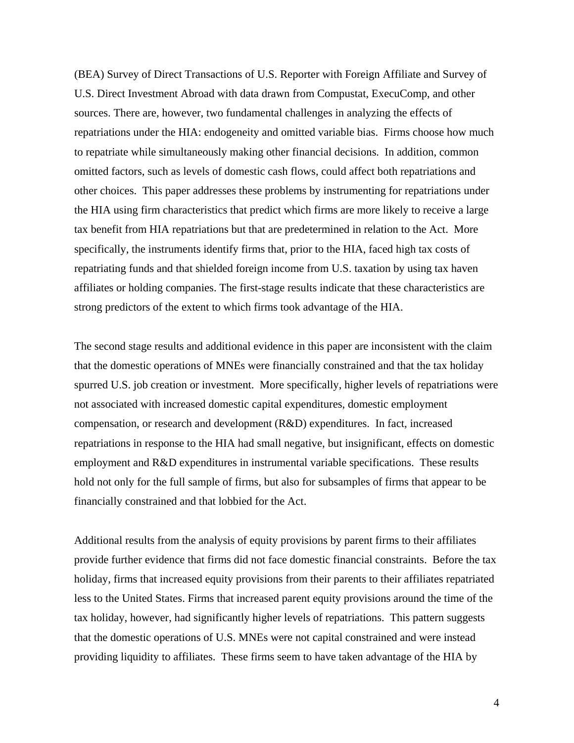(BEA) Survey of Direct Transactions of U.S. Reporter with Foreign Affiliate and Survey of U.S. Direct Investment Abroad with data drawn from Compustat, ExecuComp, and other sources. There are, however, two fundamental challenges in analyzing the effects of repatriations under the HIA: endogeneity and omitted variable bias. Firms choose how much to repatriate while simultaneously making other financial decisions. In addition, common omitted factors, such as levels of domestic cash flows, could affect both repatriations and other choices. This paper addresses these problems by instrumenting for repatriations under the HIA using firm characteristics that predict which firms are more likely to receive a large tax benefit from HIA repatriations but that are predetermined in relation to the Act. More specifically, the instruments identify firms that, prior to the HIA, faced high tax costs of repatriating funds and that shielded foreign income from U.S. taxation by using tax haven affiliates or holding companies. The first-stage results indicate that these characteristics are strong predictors of the extent to which firms took advantage of the HIA.

The second stage results and additional evidence in this paper are inconsistent with the claim that the domestic operations of MNEs were financially constrained and that the tax holiday spurred U.S. job creation or investment. More specifically, higher levels of repatriations were not associated with increased domestic capital expenditures, domestic employment compensation, or research and development (R&D) expenditures. In fact, increased repatriations in response to the HIA had small negative, but insignificant, effects on domestic employment and R&D expenditures in instrumental variable specifications. These results hold not only for the full sample of firms, but also for subsamples of firms that appear to be financially constrained and that lobbied for the Act.

Additional results from the analysis of equity provisions by parent firms to their affiliates provide further evidence that firms did not face domestic financial constraints. Before the tax holiday, firms that increased equity provisions from their parents to their affiliates repatriated less to the United States. Firms that increased parent equity provisions around the time of the tax holiday, however, had significantly higher levels of repatriations. This pattern suggests that the domestic operations of U.S. MNEs were not capital constrained and were instead providing liquidity to affiliates. These firms seem to have taken advantage of the HIA by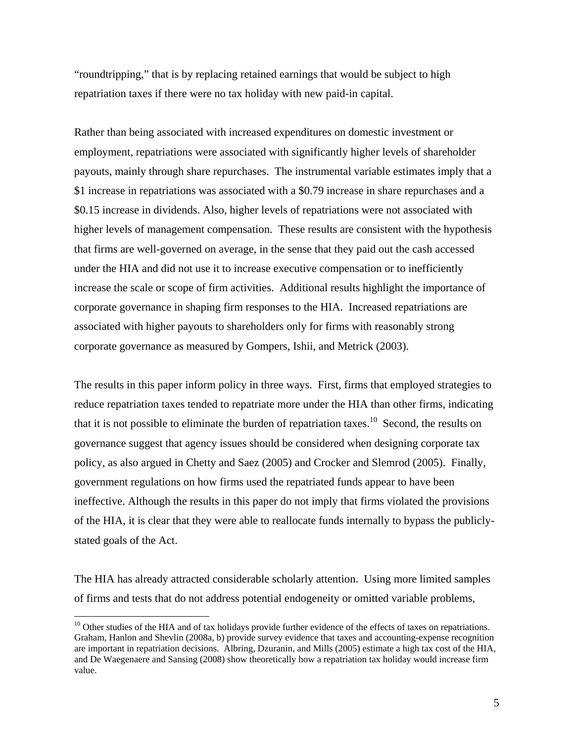"roundtripping," that is by replacing retained earnings that would be subject to high repatriation taxes if there were no tax holiday with new paid-in capital.

Rather than being associated with increased expenditures on domestic investment or employment, repatriations were associated with significantly higher levels of shareholder payouts, mainly through share repurchases. The instrumental variable estimates imply that a \$1 increase in repatriations was associated with a \$0.79 increase in share repurchases and a \$0.15 increase in dividends. Also, higher levels of repatriations were not associated with higher levels of management compensation. These results are consistent with the hypothesis that firms are well-governed on average, in the sense that they paid out the cash accessed under the HIA and did not use it to increase executive compensation or to inefficiently increase the scale or scope of firm activities. Additional results highlight the importance of corporate governance in shaping firm responses to the HIA. Increased repatriations are associated with higher payouts to shareholders only for firms with reasonably strong corporate governance as measured by Gompers, Ishii, and Metrick (2003).

The results in this paper inform policy in three ways. First, firms that employed strategies to reduce repatriation taxes tended to repatriate more under the HIA than other firms, indicating that it is not possible to eliminate the burden of repatriation taxes.<sup>10</sup> Second, the results on governance suggest that agency issues should be considered when designing corporate tax policy, as also argued in Chetty and Saez (2005) and Crocker and Slemrod (2005). Finally, government regulations on how firms used the repatriated funds appear to have been ineffective. Although the results in this paper do not imply that firms violated the provisions of the HIA, it is clear that they were able to reallocate funds internally to bypass the publiclystated goals of the Act.

The HIA has already attracted considerable scholarly attention. Using more limited samples of firms and tests that do not address potential endogeneity or omitted variable problems,

<sup>&</sup>lt;sup>10</sup> Other studies of the HIA and of tax holidays provide further evidence of the effects of taxes on repatriations. Graham, Hanlon and Shevlin (2008a, b) provide survey evidence that taxes and accounting-expense recognition are important in repatriation decisions. Albring, Dzuranin, and Mills (2005) estimate a high tax cost of the HIA, and De Waegenaere and Sansing (2008) show theoretically how a repatriation tax holiday would increase firm value.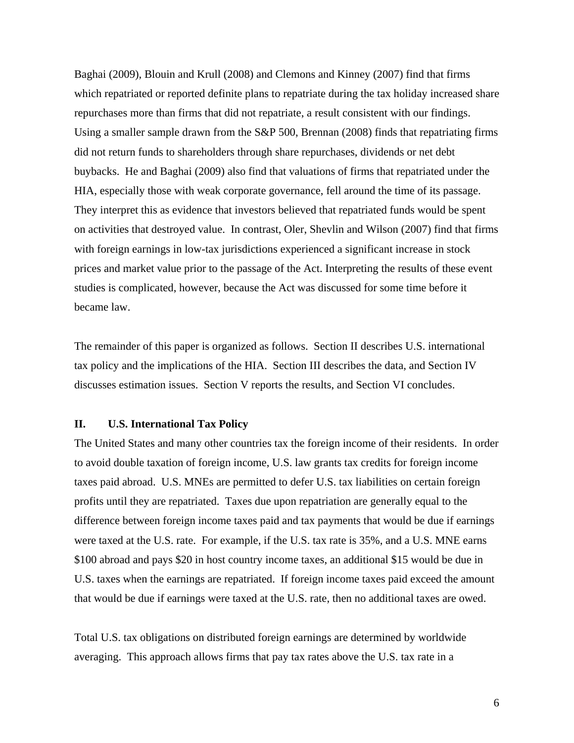Baghai (2009), Blouin and Krull (2008) and Clemons and Kinney (2007) find that firms which repatriated or reported definite plans to repatriate during the tax holiday increased share repurchases more than firms that did not repatriate, a result consistent with our findings. Using a smaller sample drawn from the S&P 500, Brennan (2008) finds that repatriating firms did not return funds to shareholders through share repurchases, dividends or net debt buybacks. He and Baghai (2009) also find that valuations of firms that repatriated under the HIA, especially those with weak corporate governance, fell around the time of its passage. They interpret this as evidence that investors believed that repatriated funds would be spent on activities that destroyed value. In contrast, Oler, Shevlin and Wilson (2007) find that firms with foreign earnings in low-tax jurisdictions experienced a significant increase in stock prices and market value prior to the passage of the Act. Interpreting the results of these event studies is complicated, however, because the Act was discussed for some time before it became law.

The remainder of this paper is organized as follows. Section II describes U.S. international tax policy and the implications of the HIA. Section III describes the data, and Section IV discusses estimation issues. Section V reports the results, and Section VI concludes.

# **II. U.S. International Tax Policy**

The United States and many other countries tax the foreign income of their residents. In order to avoid double taxation of foreign income, U.S. law grants tax credits for foreign income taxes paid abroad. U.S. MNEs are permitted to defer U.S. tax liabilities on certain foreign profits until they are repatriated. Taxes due upon repatriation are generally equal to the difference between foreign income taxes paid and tax payments that would be due if earnings were taxed at the U.S. rate. For example, if the U.S. tax rate is 35%, and a U.S. MNE earns \$100 abroad and pays \$20 in host country income taxes, an additional \$15 would be due in U.S. taxes when the earnings are repatriated. If foreign income taxes paid exceed the amount that would be due if earnings were taxed at the U.S. rate, then no additional taxes are owed.

Total U.S. tax obligations on distributed foreign earnings are determined by worldwide averaging. This approach allows firms that pay tax rates above the U.S. tax rate in a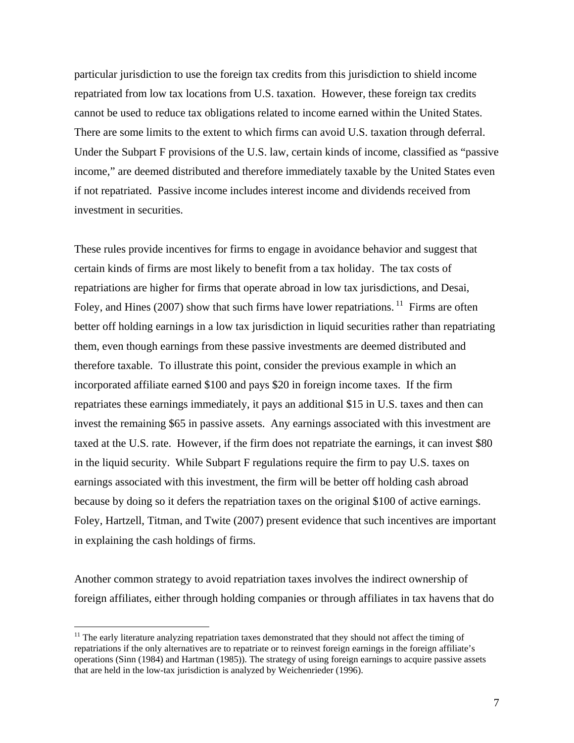particular jurisdiction to use the foreign tax credits from this jurisdiction to shield income repatriated from low tax locations from U.S. taxation. However, these foreign tax credits cannot be used to reduce tax obligations related to income earned within the United States. There are some limits to the extent to which firms can avoid U.S. taxation through deferral. Under the Subpart F provisions of the U.S. law, certain kinds of income, classified as "passive income," are deemed distributed and therefore immediately taxable by the United States even if not repatriated. Passive income includes interest income and dividends received from investment in securities.

These rules provide incentives for firms to engage in avoidance behavior and suggest that certain kinds of firms are most likely to benefit from a tax holiday. The tax costs of repatriations are higher for firms that operate abroad in low tax jurisdictions, and Desai, Foley, and Hines (2007) show that such firms have lower repatriations. <sup>11</sup> Firms are often better off holding earnings in a low tax jurisdiction in liquid securities rather than repatriating them, even though earnings from these passive investments are deemed distributed and therefore taxable. To illustrate this point, consider the previous example in which an incorporated affiliate earned \$100 and pays \$20 in foreign income taxes. If the firm repatriates these earnings immediately, it pays an additional \$15 in U.S. taxes and then can invest the remaining \$65 in passive assets. Any earnings associated with this investment are taxed at the U.S. rate. However, if the firm does not repatriate the earnings, it can invest \$80 in the liquid security. While Subpart F regulations require the firm to pay U.S. taxes on earnings associated with this investment, the firm will be better off holding cash abroad because by doing so it defers the repatriation taxes on the original \$100 of active earnings. Foley, Hartzell, Titman, and Twite (2007) present evidence that such incentives are important in explaining the cash holdings of firms.

Another common strategy to avoid repatriation taxes involves the indirect ownership of foreign affiliates, either through holding companies or through affiliates in tax havens that do

 $<sup>11</sup>$  The early literature analyzing repatriation taxes demonstrated that they should not affect the timing of</sup> repatriations if the only alternatives are to repatriate or to reinvest foreign earnings in the foreign affiliate's operations (Sinn (1984) and Hartman (1985)). The strategy of using foreign earnings to acquire passive assets that are held in the low-tax jurisdiction is analyzed by Weichenrieder (1996).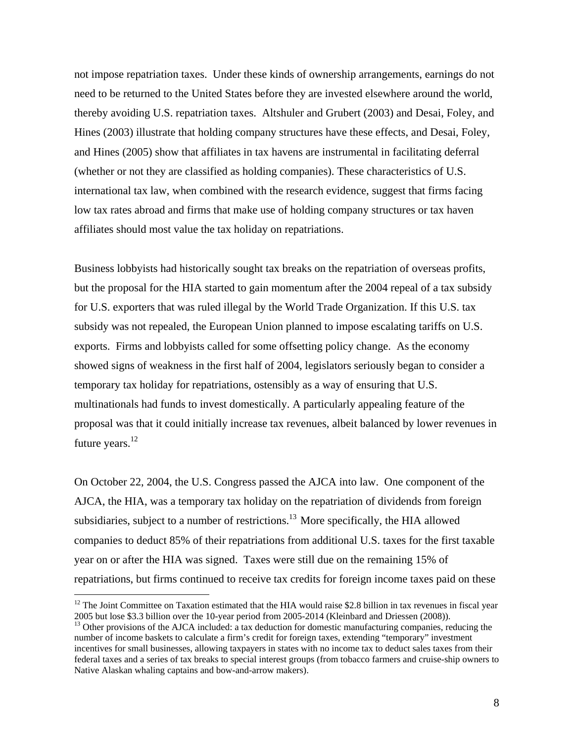not impose repatriation taxes. Under these kinds of ownership arrangements, earnings do not need to be returned to the United States before they are invested elsewhere around the world, thereby avoiding U.S. repatriation taxes. Altshuler and Grubert (2003) and Desai, Foley, and Hines (2003) illustrate that holding company structures have these effects, and Desai, Foley, and Hines (2005) show that affiliates in tax havens are instrumental in facilitating deferral (whether or not they are classified as holding companies). These characteristics of U.S. international tax law, when combined with the research evidence, suggest that firms facing low tax rates abroad and firms that make use of holding company structures or tax haven affiliates should most value the tax holiday on repatriations.

Business lobbyists had historically sought tax breaks on the repatriation of overseas profits, but the proposal for the HIA started to gain momentum after the 2004 repeal of a tax subsidy for U.S. exporters that was ruled illegal by the World Trade Organization. If this U.S. tax subsidy was not repealed, the European Union planned to impose escalating tariffs on U.S. exports. Firms and lobbyists called for some offsetting policy change. As the economy showed signs of weakness in the first half of 2004, legislators seriously began to consider a temporary tax holiday for repatriations, ostensibly as a way of ensuring that U.S. multinationals had funds to invest domestically. A particularly appealing feature of the proposal was that it could initially increase tax revenues, albeit balanced by lower revenues in future years. $^{12}$ 

On October 22, 2004, the U.S. Congress passed the AJCA into law. One component of the AJCA, the HIA, was a temporary tax holiday on the repatriation of dividends from foreign subsidiaries, subject to a number of restrictions.<sup>13</sup> More specifically, the HIA allowed companies to deduct 85% of their repatriations from additional U.S. taxes for the first taxable year on or after the HIA was signed. Taxes were still due on the remaining 15% of repatriations, but firms continued to receive tax credits for foreign income taxes paid on these

 $12$  The Joint Committee on Taxation estimated that the HIA would raise \$2.8 billion in tax revenues in fiscal year 2005 but lose \$3.3 billion over the 10-year period from 2005-2014 (Kleinbard and Driessen (2008)). 13 Other provisions of the AJCA included: a tax deduction for domestic manufacturing companies, reducing the

number of income baskets to calculate a firm's credit for foreign taxes, extending "temporary" investment incentives for small businesses, allowing taxpayers in states with no income tax to deduct sales taxes from their federal taxes and a series of tax breaks to special interest groups (from tobacco farmers and cruise-ship owners to Native Alaskan whaling captains and bow-and-arrow makers).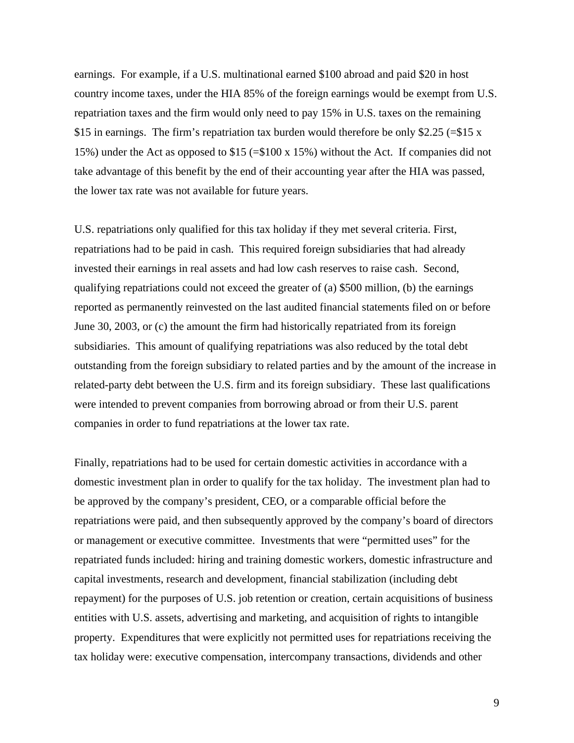earnings. For example, if a U.S. multinational earned \$100 abroad and paid \$20 in host country income taxes, under the HIA 85% of the foreign earnings would be exempt from U.S. repatriation taxes and the firm would only need to pay 15% in U.S. taxes on the remaining \$15 in earnings. The firm's repatriation tax burden would therefore be only \$2.25 (=\$15 x 15%) under the Act as opposed to \$15 (=\$100 x 15%) without the Act. If companies did not take advantage of this benefit by the end of their accounting year after the HIA was passed, the lower tax rate was not available for future years.

U.S. repatriations only qualified for this tax holiday if they met several criteria. First, repatriations had to be paid in cash. This required foreign subsidiaries that had already invested their earnings in real assets and had low cash reserves to raise cash. Second, qualifying repatriations could not exceed the greater of (a) \$500 million, (b) the earnings reported as permanently reinvested on the last audited financial statements filed on or before June 30, 2003, or (c) the amount the firm had historically repatriated from its foreign subsidiaries. This amount of qualifying repatriations was also reduced by the total debt outstanding from the foreign subsidiary to related parties and by the amount of the increase in related-party debt between the U.S. firm and its foreign subsidiary. These last qualifications were intended to prevent companies from borrowing abroad or from their U.S. parent companies in order to fund repatriations at the lower tax rate.

Finally, repatriations had to be used for certain domestic activities in accordance with a domestic investment plan in order to qualify for the tax holiday. The investment plan had to be approved by the company's president, CEO, or a comparable official before the repatriations were paid, and then subsequently approved by the company's board of directors or management or executive committee. Investments that were "permitted uses" for the repatriated funds included: hiring and training domestic workers, domestic infrastructure and capital investments, research and development, financial stabilization (including debt repayment) for the purposes of U.S. job retention or creation, certain acquisitions of business entities with U.S. assets, advertising and marketing, and acquisition of rights to intangible property. Expenditures that were explicitly not permitted uses for repatriations receiving the tax holiday were: executive compensation, intercompany transactions, dividends and other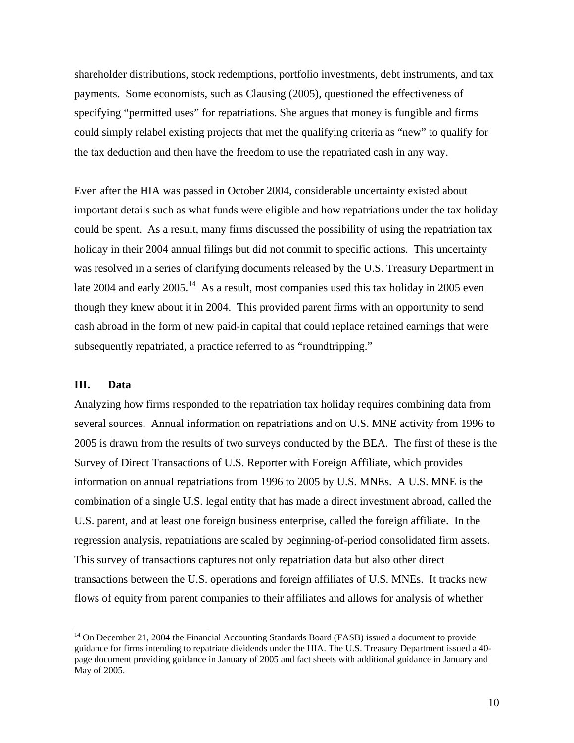shareholder distributions, stock redemptions, portfolio investments, debt instruments, and tax payments. Some economists, such as Clausing (2005), questioned the effectiveness of specifying "permitted uses" for repatriations. She argues that money is fungible and firms could simply relabel existing projects that met the qualifying criteria as "new" to qualify for the tax deduction and then have the freedom to use the repatriated cash in any way.

Even after the HIA was passed in October 2004, considerable uncertainty existed about important details such as what funds were eligible and how repatriations under the tax holiday could be spent. As a result, many firms discussed the possibility of using the repatriation tax holiday in their 2004 annual filings but did not commit to specific actions. This uncertainty was resolved in a series of clarifying documents released by the U.S. Treasury Department in late 2004 and early 2005.<sup>14</sup> As a result, most companies used this tax holiday in 2005 even though they knew about it in 2004. This provided parent firms with an opportunity to send cash abroad in the form of new paid-in capital that could replace retained earnings that were subsequently repatriated, a practice referred to as "roundtripping."

# **III. Data**

 $\overline{a}$ 

Analyzing how firms responded to the repatriation tax holiday requires combining data from several sources. Annual information on repatriations and on U.S. MNE activity from 1996 to 2005 is drawn from the results of two surveys conducted by the BEA. The first of these is the Survey of Direct Transactions of U.S. Reporter with Foreign Affiliate, which provides information on annual repatriations from 1996 to 2005 by U.S. MNEs. A U.S. MNE is the combination of a single U.S. legal entity that has made a direct investment abroad, called the U.S. parent, and at least one foreign business enterprise, called the foreign affiliate. In the regression analysis, repatriations are scaled by beginning-of-period consolidated firm assets. This survey of transactions captures not only repatriation data but also other direct transactions between the U.S. operations and foreign affiliates of U.S. MNEs. It tracks new flows of equity from parent companies to their affiliates and allows for analysis of whether

 $14$  On December 21, 2004 the Financial Accounting Standards Board (FASB) issued a document to provide guidance for firms intending to repatriate dividends under the HIA. The U.S. Treasury Department issued a 40 page document providing guidance in January of 2005 and fact sheets with additional guidance in January and May of 2005.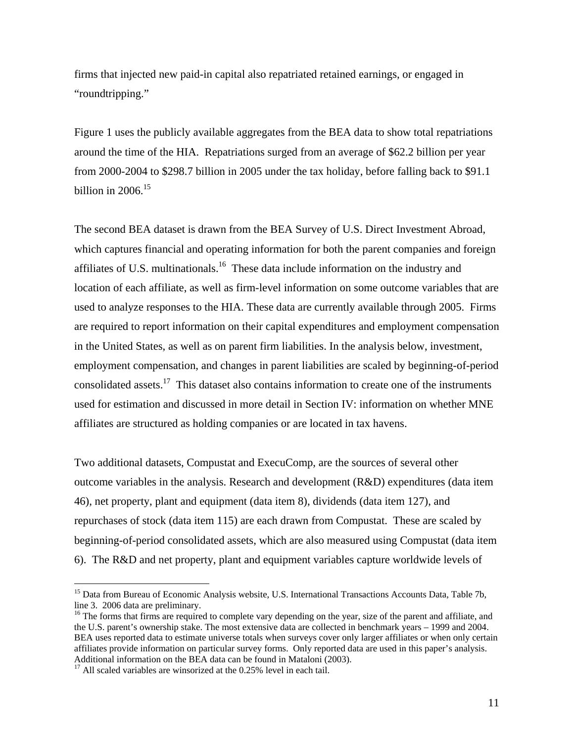firms that injected new paid-in capital also repatriated retained earnings, or engaged in "roundtripping."

Figure 1 uses the publicly available aggregates from the BEA data to show total repatriations around the time of the HIA. Repatriations surged from an average of \$62.2 billion per year from 2000-2004 to \$298.7 billion in 2005 under the tax holiday, before falling back to \$91.1 billion in  $2006.<sup>15</sup>$ 

The second BEA dataset is drawn from the BEA Survey of U.S. Direct Investment Abroad, which captures financial and operating information for both the parent companies and foreign affiliates of U.S. multinationals.16 These data include information on the industry and location of each affiliate, as well as firm-level information on some outcome variables that are used to analyze responses to the HIA. These data are currently available through 2005. Firms are required to report information on their capital expenditures and employment compensation in the United States, as well as on parent firm liabilities. In the analysis below, investment, employment compensation, and changes in parent liabilities are scaled by beginning-of-period consolidated assets.<sup>17</sup> This dataset also contains information to create one of the instruments used for estimation and discussed in more detail in Section IV: information on whether MNE affiliates are structured as holding companies or are located in tax havens.

Two additional datasets, Compustat and ExecuComp, are the sources of several other outcome variables in the analysis. Research and development (R&D) expenditures (data item 46), net property, plant and equipment (data item 8), dividends (data item 127), and repurchases of stock (data item 115) are each drawn from Compustat. These are scaled by beginning-of-period consolidated assets, which are also measured using Compustat (data item 6). The R&D and net property, plant and equipment variables capture worldwide levels of

<sup>&</sup>lt;sup>15</sup> Data from Bureau of Economic Analysis website, U.S. International Transactions Accounts Data, Table 7b, line 3. 2006 data are preliminary.<br><sup>16</sup> The forms that firms are required to complete vary depending on the year, size of the parent and affiliate, and

the U.S. parent's ownership stake. The most extensive data are collected in benchmark years – 1999 and 2004. BEA uses reported data to estimate universe totals when surveys cover only larger affiliates or when only certain affiliates provide information on particular survey forms. Only reported data are used in this paper's analysis. Additional information on the BEA data can be found in Mataloni (2003).

 $17$  All scaled variables are winsorized at the 0.25% level in each tail.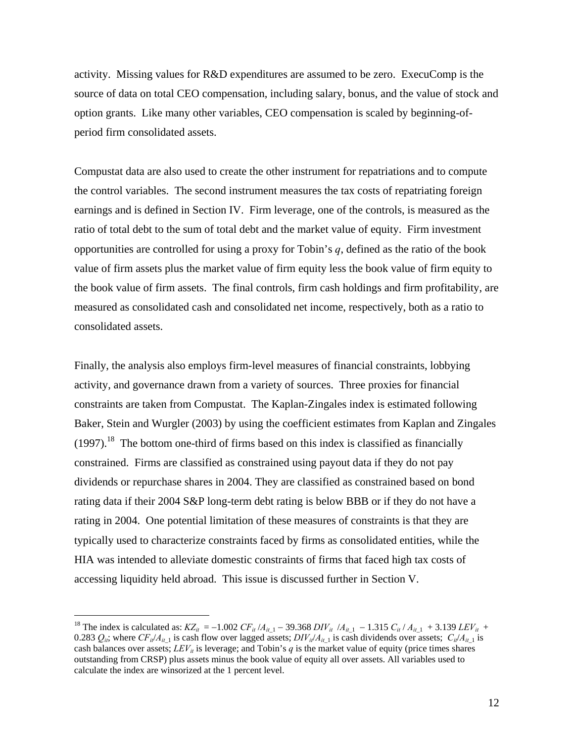activity. Missing values for R&D expenditures are assumed to be zero. ExecuComp is the source of data on total CEO compensation, including salary, bonus, and the value of stock and option grants. Like many other variables, CEO compensation is scaled by beginning-ofperiod firm consolidated assets.

Compustat data are also used to create the other instrument for repatriations and to compute the control variables. The second instrument measures the tax costs of repatriating foreign earnings and is defined in Section IV. Firm leverage, one of the controls, is measured as the ratio of total debt to the sum of total debt and the market value of equity. Firm investment opportunities are controlled for using a proxy for Tobin's *q*, defined as the ratio of the book value of firm assets plus the market value of firm equity less the book value of firm equity to the book value of firm assets. The final controls, firm cash holdings and firm profitability, are measured as consolidated cash and consolidated net income, respectively, both as a ratio to consolidated assets.

Finally, the analysis also employs firm-level measures of financial constraints, lobbying activity, and governance drawn from a variety of sources. Three proxies for financial constraints are taken from Compustat. The Kaplan-Zingales index is estimated following Baker, Stein and Wurgler (2003) by using the coefficient estimates from Kaplan and Zingales  $(1997).$ <sup>18</sup> The bottom one-third of firms based on this index is classified as financially constrained. Firms are classified as constrained using payout data if they do not pay dividends or repurchase shares in 2004. They are classified as constrained based on bond rating data if their 2004 S&P long-term debt rating is below BBB or if they do not have a rating in 2004. One potential limitation of these measures of constraints is that they are typically used to characterize constraints faced by firms as consolidated entities, while the HIA was intended to alleviate domestic constraints of firms that faced high tax costs of accessing liquidity held abroad. This issue is discussed further in Section V.

<sup>&</sup>lt;sup>18</sup> The index is calculated as:  $KZ_{it} = -1.002 \; CF_{it}/A_{it-1} - 39.368 \; DIV_{it}/A_{it-1} - 1.315 \; C_{it}/A_{it-1} + 3.139 \; LEV_{it} +$ 0.283  $Q_{ii}$ ; where  $CF_{ii}/A_{ii}$  is cash flow over lagged assets;  $DIV_{ii}/A_{ii}$  is cash dividends over assets;  $C_{ii}/A_{ii}$  is cash balances over assets;  $LEV_{ii}$  is leverage; and Tobin's *q* is the market value of equity (price times shares outstanding from CRSP) plus assets minus the book value of equity all over assets. All variables used to calculate the index are winsorized at the 1 percent level.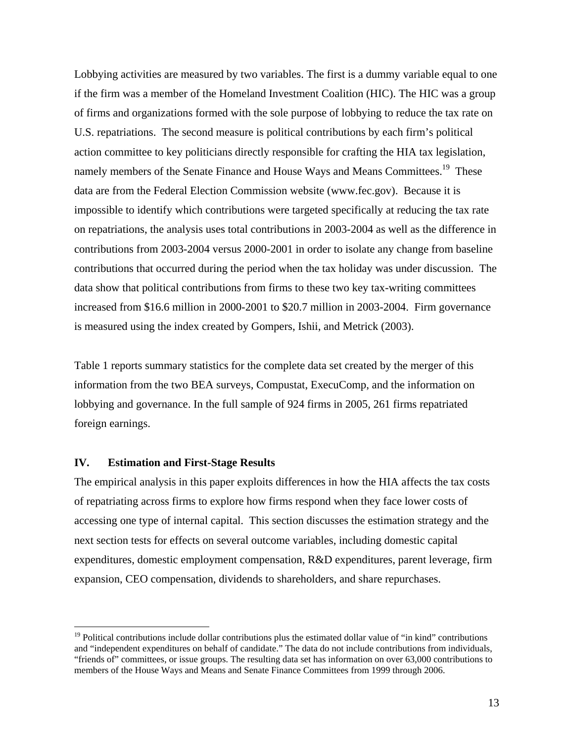Lobbying activities are measured by two variables. The first is a dummy variable equal to one if the firm was a member of the Homeland Investment Coalition (HIC). The HIC was a group of firms and organizations formed with the sole purpose of lobbying to reduce the tax rate on U.S. repatriations. The second measure is political contributions by each firm's political action committee to key politicians directly responsible for crafting the HIA tax legislation, namely members of the Senate Finance and House Ways and Means Committees.<sup>19</sup> These data are from the Federal Election Commission website (www.fec.gov). Because it is impossible to identify which contributions were targeted specifically at reducing the tax rate on repatriations, the analysis uses total contributions in 2003-2004 as well as the difference in contributions from 2003-2004 versus 2000-2001 in order to isolate any change from baseline contributions that occurred during the period when the tax holiday was under discussion. The data show that political contributions from firms to these two key tax-writing committees increased from \$16.6 million in 2000-2001 to \$20.7 million in 2003-2004. Firm governance is measured using the index created by Gompers, Ishii, and Metrick (2003).

Table 1 reports summary statistics for the complete data set created by the merger of this information from the two BEA surveys, Compustat, ExecuComp, and the information on lobbying and governance. In the full sample of 924 firms in 2005, 261 firms repatriated foreign earnings.

### **IV. Estimation and First-Stage Results**

 $\overline{a}$ 

The empirical analysis in this paper exploits differences in how the HIA affects the tax costs of repatriating across firms to explore how firms respond when they face lower costs of accessing one type of internal capital. This section discusses the estimation strategy and the next section tests for effects on several outcome variables, including domestic capital expenditures, domestic employment compensation, R&D expenditures, parent leverage, firm expansion, CEO compensation, dividends to shareholders, and share repurchases.

 $19$  Political contributions include dollar contributions plus the estimated dollar value of "in kind" contributions and "independent expenditures on behalf of candidate." The data do not include contributions from individuals, "friends of" committees, or issue groups. The resulting data set has information on over 63,000 contributions to members of the House Ways and Means and Senate Finance Committees from 1999 through 2006.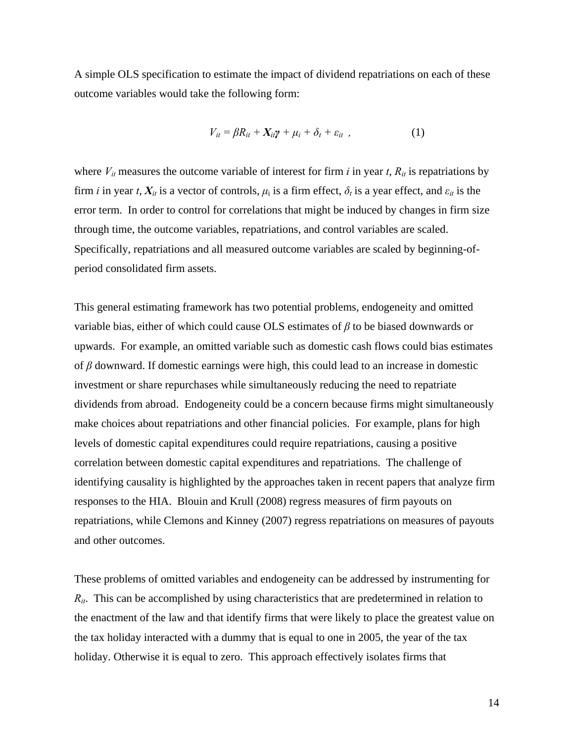A simple OLS specification to estimate the impact of dividend repatriations on each of these outcome variables would take the following form:

$$
V_{it} = \beta R_{it} + X_{it} \gamma + \mu_i + \delta_t + \varepsilon_{it} \quad , \tag{1}
$$

where  $V_{it}$  measures the outcome variable of interest for firm  $i$  in year  $t$ ,  $R_{it}$  is repatriations by firm *i* in year *t*,  $X_{it}$  is a vector of controls,  $\mu_i$  is a firm effect,  $\delta_t$  is a year effect, and  $\varepsilon_{it}$  is the error term. In order to control for correlations that might be induced by changes in firm size through time, the outcome variables, repatriations, and control variables are scaled. Specifically, repatriations and all measured outcome variables are scaled by beginning-ofperiod consolidated firm assets.

This general estimating framework has two potential problems, endogeneity and omitted variable bias, either of which could cause OLS estimates of *β* to be biased downwards or upwards. For example, an omitted variable such as domestic cash flows could bias estimates of *β* downward. If domestic earnings were high, this could lead to an increase in domestic investment or share repurchases while simultaneously reducing the need to repatriate dividends from abroad. Endogeneity could be a concern because firms might simultaneously make choices about repatriations and other financial policies. For example, plans for high levels of domestic capital expenditures could require repatriations, causing a positive correlation between domestic capital expenditures and repatriations. The challenge of identifying causality is highlighted by the approaches taken in recent papers that analyze firm responses to the HIA. Blouin and Krull (2008) regress measures of firm payouts on repatriations, while Clemons and Kinney (2007) regress repatriations on measures of payouts and other outcomes.

These problems of omitted variables and endogeneity can be addressed by instrumenting for *Rit*. This can be accomplished by using characteristics that are predetermined in relation to the enactment of the law and that identify firms that were likely to place the greatest value on the tax holiday interacted with a dummy that is equal to one in 2005, the year of the tax holiday. Otherwise it is equal to zero. This approach effectively isolates firms that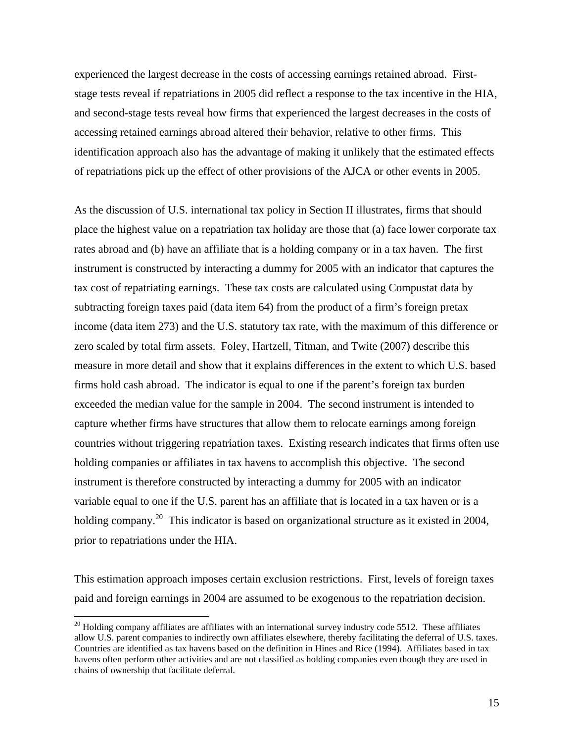experienced the largest decrease in the costs of accessing earnings retained abroad. Firststage tests reveal if repatriations in 2005 did reflect a response to the tax incentive in the HIA, and second-stage tests reveal how firms that experienced the largest decreases in the costs of accessing retained earnings abroad altered their behavior, relative to other firms. This identification approach also has the advantage of making it unlikely that the estimated effects of repatriations pick up the effect of other provisions of the AJCA or other events in 2005.

As the discussion of U.S. international tax policy in Section II illustrates, firms that should place the highest value on a repatriation tax holiday are those that (a) face lower corporate tax rates abroad and (b) have an affiliate that is a holding company or in a tax haven. The first instrument is constructed by interacting a dummy for 2005 with an indicator that captures the tax cost of repatriating earnings. These tax costs are calculated using Compustat data by subtracting foreign taxes paid (data item 64) from the product of a firm's foreign pretax income (data item 273) and the U.S. statutory tax rate, with the maximum of this difference or zero scaled by total firm assets. Foley, Hartzell, Titman, and Twite (2007) describe this measure in more detail and show that it explains differences in the extent to which U.S. based firms hold cash abroad. The indicator is equal to one if the parent's foreign tax burden exceeded the median value for the sample in 2004. The second instrument is intended to capture whether firms have structures that allow them to relocate earnings among foreign countries without triggering repatriation taxes. Existing research indicates that firms often use holding companies or affiliates in tax havens to accomplish this objective. The second instrument is therefore constructed by interacting a dummy for 2005 with an indicator variable equal to one if the U.S. parent has an affiliate that is located in a tax haven or is a holding company.<sup>20</sup> This indicator is based on organizational structure as it existed in 2004, prior to repatriations under the HIA.

This estimation approach imposes certain exclusion restrictions. First, levels of foreign taxes paid and foreign earnings in 2004 are assumed to be exogenous to the repatriation decision.

 $20$  Holding company affiliates are affiliates with an international survey industry code 5512. These affiliates allow U.S. parent companies to indirectly own affiliates elsewhere, thereby facilitating the deferral of U.S. taxes. Countries are identified as tax havens based on the definition in Hines and Rice (1994). Affiliates based in tax havens often perform other activities and are not classified as holding companies even though they are used in chains of ownership that facilitate deferral.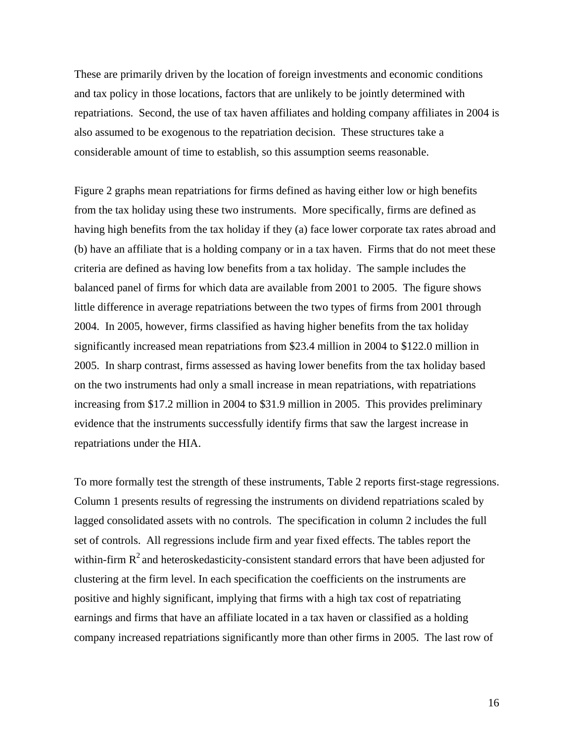These are primarily driven by the location of foreign investments and economic conditions and tax policy in those locations, factors that are unlikely to be jointly determined with repatriations. Second, the use of tax haven affiliates and holding company affiliates in 2004 is also assumed to be exogenous to the repatriation decision. These structures take a considerable amount of time to establish, so this assumption seems reasonable.

Figure 2 graphs mean repatriations for firms defined as having either low or high benefits from the tax holiday using these two instruments. More specifically, firms are defined as having high benefits from the tax holiday if they (a) face lower corporate tax rates abroad and (b) have an affiliate that is a holding company or in a tax haven. Firms that do not meet these criteria are defined as having low benefits from a tax holiday. The sample includes the balanced panel of firms for which data are available from 2001 to 2005. The figure shows little difference in average repatriations between the two types of firms from 2001 through 2004. In 2005, however, firms classified as having higher benefits from the tax holiday significantly increased mean repatriations from \$23.4 million in 2004 to \$122.0 million in 2005. In sharp contrast, firms assessed as having lower benefits from the tax holiday based on the two instruments had only a small increase in mean repatriations, with repatriations increasing from \$17.2 million in 2004 to \$31.9 million in 2005. This provides preliminary evidence that the instruments successfully identify firms that saw the largest increase in repatriations under the HIA.

To more formally test the strength of these instruments, Table 2 reports first-stage regressions. Column 1 presents results of regressing the instruments on dividend repatriations scaled by lagged consolidated assets with no controls. The specification in column 2 includes the full set of controls. All regressions include firm and year fixed effects. The tables report the within-firm  $\mathbb{R}^2$  and heteroskedasticity-consistent standard errors that have been adjusted for clustering at the firm level. In each specification the coefficients on the instruments are positive and highly significant, implying that firms with a high tax cost of repatriating earnings and firms that have an affiliate located in a tax haven or classified as a holding company increased repatriations significantly more than other firms in 2005. The last row of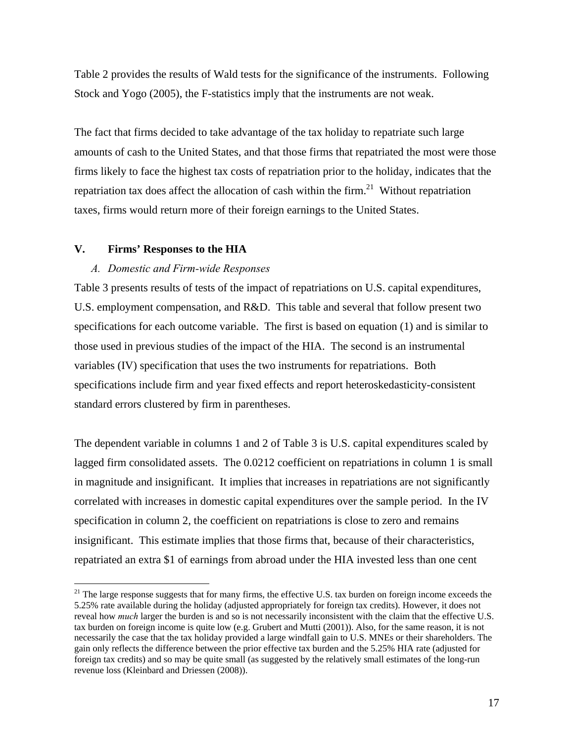Table 2 provides the results of Wald tests for the significance of the instruments. Following Stock and Yogo (2005), the F-statistics imply that the instruments are not weak.

The fact that firms decided to take advantage of the tax holiday to repatriate such large amounts of cash to the United States, and that those firms that repatriated the most were those firms likely to face the highest tax costs of repatriation prior to the holiday, indicates that the repatriation tax does affect the allocation of cash within the firm.<sup>21</sup> Without repatriation taxes, firms would return more of their foreign earnings to the United States.

# **V. Firms' Responses to the HIA**

 $\overline{a}$ 

## *A. Domestic and Firm-wide Responses*

Table 3 presents results of tests of the impact of repatriations on U.S. capital expenditures, U.S. employment compensation, and R&D. This table and several that follow present two specifications for each outcome variable. The first is based on equation (1) and is similar to those used in previous studies of the impact of the HIA. The second is an instrumental variables (IV) specification that uses the two instruments for repatriations. Both specifications include firm and year fixed effects and report heteroskedasticity-consistent standard errors clustered by firm in parentheses.

The dependent variable in columns 1 and 2 of Table 3 is U.S. capital expenditures scaled by lagged firm consolidated assets. The 0.0212 coefficient on repatriations in column 1 is small in magnitude and insignificant. It implies that increases in repatriations are not significantly correlated with increases in domestic capital expenditures over the sample period. In the IV specification in column 2, the coefficient on repatriations is close to zero and remains insignificant. This estimate implies that those firms that, because of their characteristics, repatriated an extra \$1 of earnings from abroad under the HIA invested less than one cent

 $21$  The large response suggests that for many firms, the effective U.S. tax burden on foreign income exceeds the 5.25% rate available during the holiday (adjusted appropriately for foreign tax credits). However, it does not reveal how *much* larger the burden is and so is not necessarily inconsistent with the claim that the effective U.S. tax burden on foreign income is quite low (e.g. Grubert and Mutti (2001)). Also, for the same reason, it is not necessarily the case that the tax holiday provided a large windfall gain to U.S. MNEs or their shareholders. The gain only reflects the difference between the prior effective tax burden and the 5.25% HIA rate (adjusted for foreign tax credits) and so may be quite small (as suggested by the relatively small estimates of the long-run revenue loss (Kleinbard and Driessen (2008)).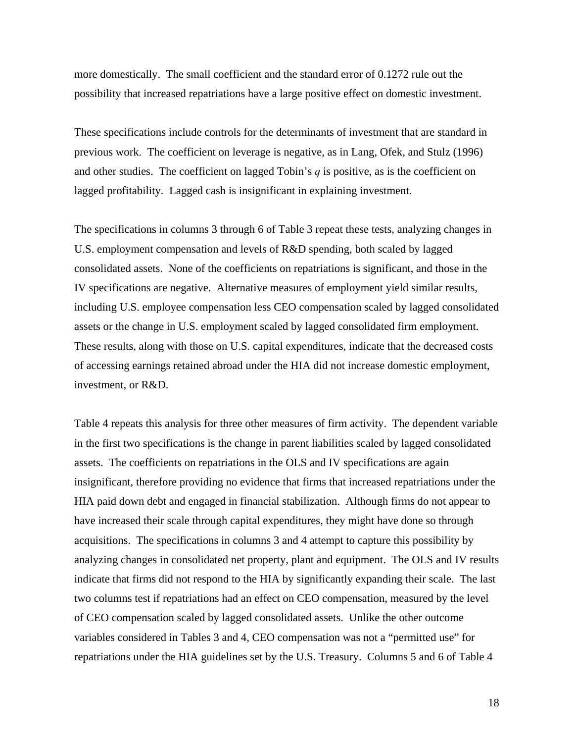more domestically. The small coefficient and the standard error of 0.1272 rule out the possibility that increased repatriations have a large positive effect on domestic investment.

These specifications include controls for the determinants of investment that are standard in previous work. The coefficient on leverage is negative, as in Lang, Ofek, and Stulz (1996) and other studies. The coefficient on lagged Tobin's *q* is positive, as is the coefficient on lagged profitability. Lagged cash is insignificant in explaining investment.

The specifications in columns 3 through 6 of Table 3 repeat these tests, analyzing changes in U.S. employment compensation and levels of R&D spending, both scaled by lagged consolidated assets. None of the coefficients on repatriations is significant, and those in the IV specifications are negative. Alternative measures of employment yield similar results, including U.S. employee compensation less CEO compensation scaled by lagged consolidated assets or the change in U.S. employment scaled by lagged consolidated firm employment. These results, along with those on U.S. capital expenditures, indicate that the decreased costs of accessing earnings retained abroad under the HIA did not increase domestic employment, investment, or R&D.

Table 4 repeats this analysis for three other measures of firm activity. The dependent variable in the first two specifications is the change in parent liabilities scaled by lagged consolidated assets. The coefficients on repatriations in the OLS and IV specifications are again insignificant, therefore providing no evidence that firms that increased repatriations under the HIA paid down debt and engaged in financial stabilization. Although firms do not appear to have increased their scale through capital expenditures, they might have done so through acquisitions. The specifications in columns 3 and 4 attempt to capture this possibility by analyzing changes in consolidated net property, plant and equipment. The OLS and IV results indicate that firms did not respond to the HIA by significantly expanding their scale. The last two columns test if repatriations had an effect on CEO compensation, measured by the level of CEO compensation scaled by lagged consolidated assets. Unlike the other outcome variables considered in Tables 3 and 4, CEO compensation was not a "permitted use" for repatriations under the HIA guidelines set by the U.S. Treasury. Columns 5 and 6 of Table 4

18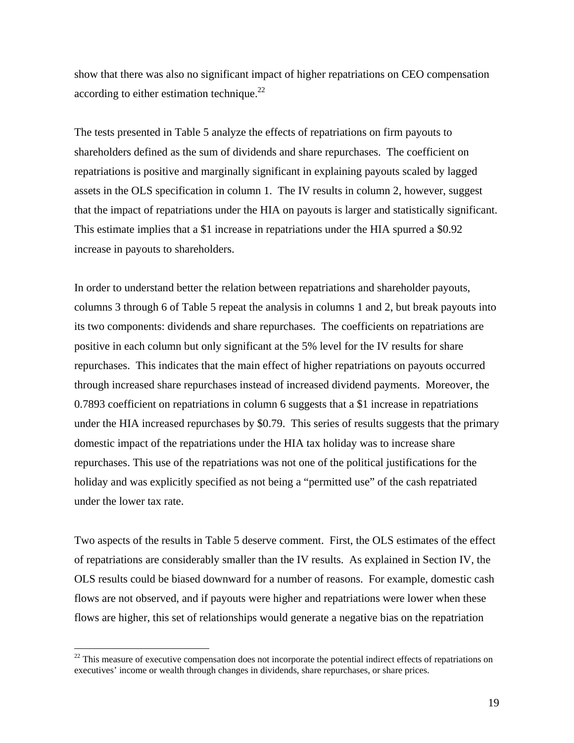show that there was also no significant impact of higher repatriations on CEO compensation according to either estimation technique.<sup>22</sup>

The tests presented in Table 5 analyze the effects of repatriations on firm payouts to shareholders defined as the sum of dividends and share repurchases. The coefficient on repatriations is positive and marginally significant in explaining payouts scaled by lagged assets in the OLS specification in column 1. The IV results in column 2, however, suggest that the impact of repatriations under the HIA on payouts is larger and statistically significant. This estimate implies that a \$1 increase in repatriations under the HIA spurred a \$0.92 increase in payouts to shareholders.

In order to understand better the relation between repatriations and shareholder payouts, columns 3 through 6 of Table 5 repeat the analysis in columns 1 and 2, but break payouts into its two components: dividends and share repurchases. The coefficients on repatriations are positive in each column but only significant at the 5% level for the IV results for share repurchases. This indicates that the main effect of higher repatriations on payouts occurred through increased share repurchases instead of increased dividend payments. Moreover, the 0.7893 coefficient on repatriations in column 6 suggests that a \$1 increase in repatriations under the HIA increased repurchases by \$0.79. This series of results suggests that the primary domestic impact of the repatriations under the HIA tax holiday was to increase share repurchases. This use of the repatriations was not one of the political justifications for the holiday and was explicitly specified as not being a "permitted use" of the cash repatriated under the lower tax rate.

Two aspects of the results in Table 5 deserve comment. First, the OLS estimates of the effect of repatriations are considerably smaller than the IV results. As explained in Section IV, the OLS results could be biased downward for a number of reasons. For example, domestic cash flows are not observed, and if payouts were higher and repatriations were lower when these flows are higher, this set of relationships would generate a negative bias on the repatriation

 $22$  This measure of executive compensation does not incorporate the potential indirect effects of repatriations on executives' income or wealth through changes in dividends, share repurchases, or share prices.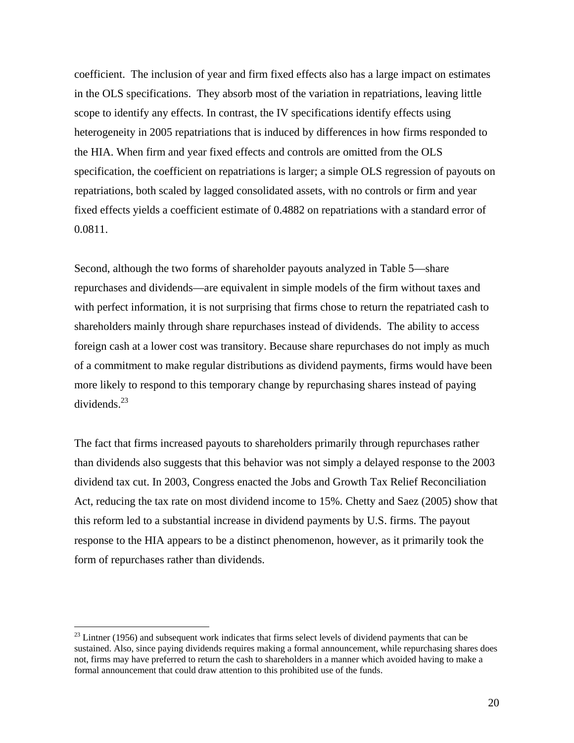coefficient. The inclusion of year and firm fixed effects also has a large impact on estimates in the OLS specifications. They absorb most of the variation in repatriations, leaving little scope to identify any effects. In contrast, the IV specifications identify effects using heterogeneity in 2005 repatriations that is induced by differences in how firms responded to the HIA. When firm and year fixed effects and controls are omitted from the OLS specification, the coefficient on repatriations is larger; a simple OLS regression of payouts on repatriations, both scaled by lagged consolidated assets, with no controls or firm and year fixed effects yields a coefficient estimate of 0.4882 on repatriations with a standard error of 0.0811.

Second, although the two forms of shareholder payouts analyzed in Table 5—share repurchases and dividends—are equivalent in simple models of the firm without taxes and with perfect information, it is not surprising that firms chose to return the repatriated cash to shareholders mainly through share repurchases instead of dividends. The ability to access foreign cash at a lower cost was transitory. Because share repurchases do not imply as much of a commitment to make regular distributions as dividend payments, firms would have been more likely to respond to this temporary change by repurchasing shares instead of paying  $dividends.<sup>23</sup>$ 

The fact that firms increased payouts to shareholders primarily through repurchases rather than dividends also suggests that this behavior was not simply a delayed response to the 2003 dividend tax cut. In 2003, Congress enacted the Jobs and Growth Tax Relief Reconciliation Act, reducing the tax rate on most dividend income to 15%. Chetty and Saez (2005) show that this reform led to a substantial increase in dividend payments by U.S. firms. The payout response to the HIA appears to be a distinct phenomenon, however, as it primarily took the form of repurchases rather than dividends.

 $^{23}$  Lintner (1956) and subsequent work indicates that firms select levels of dividend payments that can be sustained. Also, since paying dividends requires making a formal announcement, while repurchasing shares does not, firms may have preferred to return the cash to shareholders in a manner which avoided having to make a formal announcement that could draw attention to this prohibited use of the funds.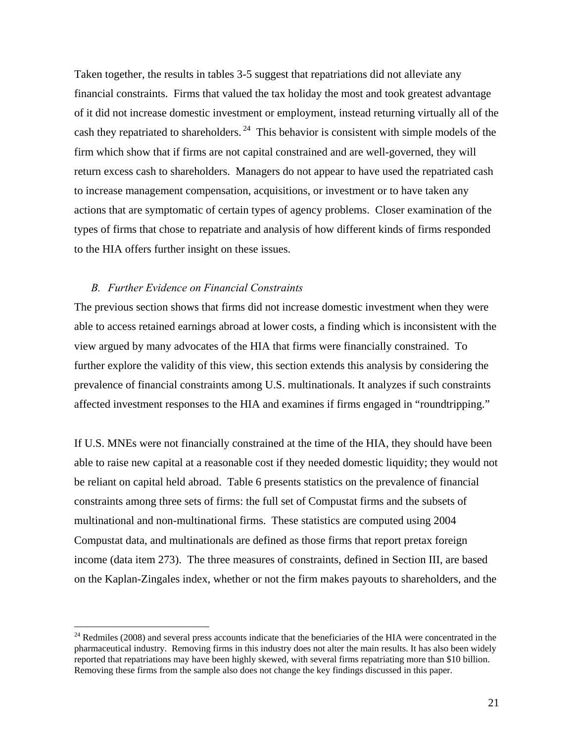Taken together, the results in tables 3-5 suggest that repatriations did not alleviate any financial constraints. Firms that valued the tax holiday the most and took greatest advantage of it did not increase domestic investment or employment, instead returning virtually all of the cash they repatriated to shareholders.  $24$  This behavior is consistent with simple models of the firm which show that if firms are not capital constrained and are well-governed, they will return excess cash to shareholders. Managers do not appear to have used the repatriated cash to increase management compensation, acquisitions, or investment or to have taken any actions that are symptomatic of certain types of agency problems. Closer examination of the types of firms that chose to repatriate and analysis of how different kinds of firms responded to the HIA offers further insight on these issues.

## *B. Further Evidence on Financial Constraints*

 $\overline{a}$ 

The previous section shows that firms did not increase domestic investment when they were able to access retained earnings abroad at lower costs, a finding which is inconsistent with the view argued by many advocates of the HIA that firms were financially constrained. To further explore the validity of this view, this section extends this analysis by considering the prevalence of financial constraints among U.S. multinationals. It analyzes if such constraints affected investment responses to the HIA and examines if firms engaged in "roundtripping."

If U.S. MNEs were not financially constrained at the time of the HIA, they should have been able to raise new capital at a reasonable cost if they needed domestic liquidity; they would not be reliant on capital held abroad. Table 6 presents statistics on the prevalence of financial constraints among three sets of firms: the full set of Compustat firms and the subsets of multinational and non-multinational firms. These statistics are computed using 2004 Compustat data, and multinationals are defined as those firms that report pretax foreign income (data item 273). The three measures of constraints, defined in Section III, are based on the Kaplan-Zingales index, whether or not the firm makes payouts to shareholders, and the

 $^{24}$  Redmiles (2008) and several press accounts indicate that the beneficiaries of the HIA were concentrated in the pharmaceutical industry. Removing firms in this industry does not alter the main results. It has also been widely reported that repatriations may have been highly skewed, with several firms repatriating more than \$10 billion. Removing these firms from the sample also does not change the key findings discussed in this paper.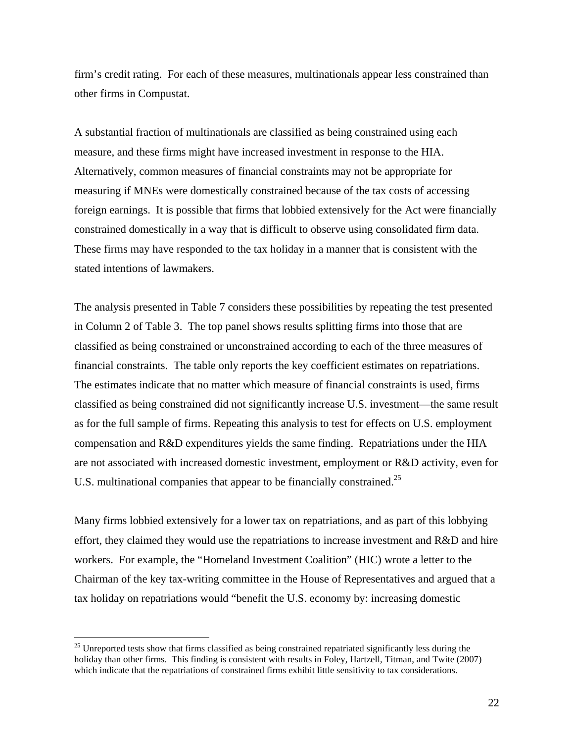firm's credit rating. For each of these measures, multinationals appear less constrained than other firms in Compustat.

A substantial fraction of multinationals are classified as being constrained using each measure, and these firms might have increased investment in response to the HIA. Alternatively, common measures of financial constraints may not be appropriate for measuring if MNEs were domestically constrained because of the tax costs of accessing foreign earnings. It is possible that firms that lobbied extensively for the Act were financially constrained domestically in a way that is difficult to observe using consolidated firm data. These firms may have responded to the tax holiday in a manner that is consistent with the stated intentions of lawmakers.

The analysis presented in Table 7 considers these possibilities by repeating the test presented in Column 2 of Table 3. The top panel shows results splitting firms into those that are classified as being constrained or unconstrained according to each of the three measures of financial constraints. The table only reports the key coefficient estimates on repatriations. The estimates indicate that no matter which measure of financial constraints is used, firms classified as being constrained did not significantly increase U.S. investment—the same result as for the full sample of firms. Repeating this analysis to test for effects on U.S. employment compensation and R&D expenditures yields the same finding. Repatriations under the HIA are not associated with increased domestic investment, employment or R&D activity, even for U.S. multinational companies that appear to be financially constrained.<sup>25</sup>

Many firms lobbied extensively for a lower tax on repatriations, and as part of this lobbying effort, they claimed they would use the repatriations to increase investment and R&D and hire workers. For example, the "Homeland Investment Coalition" (HIC) wrote a letter to the Chairman of the key tax-writing committee in the House of Representatives and argued that a tax holiday on repatriations would "benefit the U.S. economy by: increasing domestic

<sup>&</sup>lt;sup>25</sup> Unreported tests show that firms classified as being constrained repatriated significantly less during the holiday than other firms. This finding is consistent with results in Foley, Hartzell, Titman, and Twite (2007) which indicate that the repatriations of constrained firms exhibit little sensitivity to tax considerations.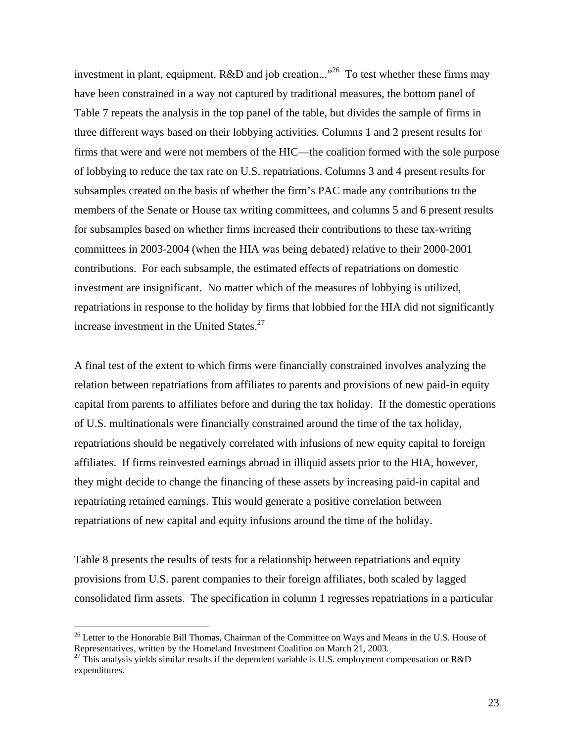investment in plant, equipment,  $R&D$  and job creation..."<sup>26</sup> To test whether these firms may have been constrained in a way not captured by traditional measures, the bottom panel of Table 7 repeats the analysis in the top panel of the table, but divides the sample of firms in three different ways based on their lobbying activities. Columns 1 and 2 present results for firms that were and were not members of the HIC—the coalition formed with the sole purpose of lobbying to reduce the tax rate on U.S. repatriations. Columns 3 and 4 present results for subsamples created on the basis of whether the firm's PAC made any contributions to the members of the Senate or House tax writing committees, and columns 5 and 6 present results for subsamples based on whether firms increased their contributions to these tax-writing committees in 2003-2004 (when the HIA was being debated) relative to their 2000-2001 contributions. For each subsample, the estimated effects of repatriations on domestic investment are insignificant. No matter which of the measures of lobbying is utilized, repatriations in response to the holiday by firms that lobbied for the HIA did not significantly increase investment in the United States. $27$ 

A final test of the extent to which firms were financially constrained involves analyzing the relation between repatriations from affiliates to parents and provisions of new paid-in equity capital from parents to affiliates before and during the tax holiday. If the domestic operations of U.S. multinationals were financially constrained around the time of the tax holiday, repatriations should be negatively correlated with infusions of new equity capital to foreign affiliates. If firms reinvested earnings abroad in illiquid assets prior to the HIA, however, they might decide to change the financing of these assets by increasing paid-in capital and repatriating retained earnings. This would generate a positive correlation between repatriations of new capital and equity infusions around the time of the holiday.

Table 8 presents the results of tests for a relationship between repatriations and equity provisions from U.S. parent companies to their foreign affiliates, both scaled by lagged consolidated firm assets. The specification in column 1 regresses repatriations in a particular

 $^{26}$  Letter to the Honorable Bill Thomas, Chairman of the Committee on Ways and Means in the U.S. House of Representatives, written by the Homeland Investment Coalition on March 21, 2003.

 $^{27}$  This analysis yields similar results if the dependent variable is U.S. employment compensation or R&D expenditures.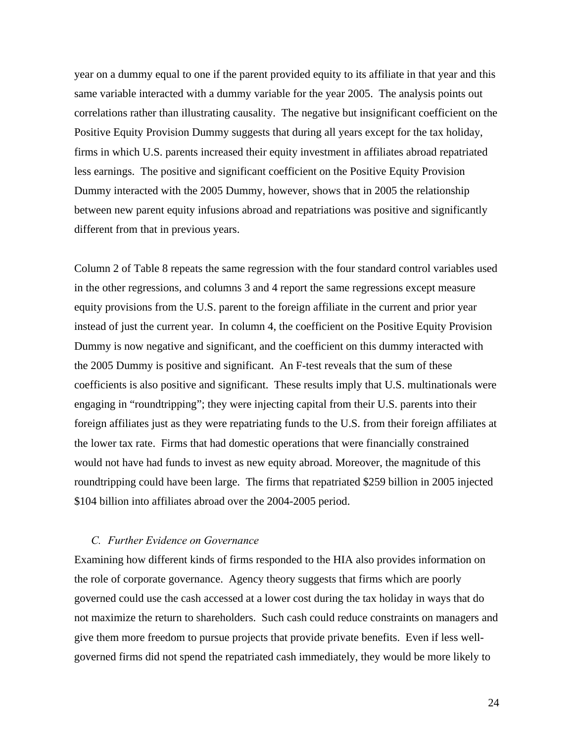year on a dummy equal to one if the parent provided equity to its affiliate in that year and this same variable interacted with a dummy variable for the year 2005. The analysis points out correlations rather than illustrating causality. The negative but insignificant coefficient on the Positive Equity Provision Dummy suggests that during all years except for the tax holiday, firms in which U.S. parents increased their equity investment in affiliates abroad repatriated less earnings. The positive and significant coefficient on the Positive Equity Provision Dummy interacted with the 2005 Dummy, however, shows that in 2005 the relationship between new parent equity infusions abroad and repatriations was positive and significantly different from that in previous years.

Column 2 of Table 8 repeats the same regression with the four standard control variables used in the other regressions, and columns 3 and 4 report the same regressions except measure equity provisions from the U.S. parent to the foreign affiliate in the current and prior year instead of just the current year. In column 4, the coefficient on the Positive Equity Provision Dummy is now negative and significant, and the coefficient on this dummy interacted with the 2005 Dummy is positive and significant. An F-test reveals that the sum of these coefficients is also positive and significant. These results imply that U.S. multinationals were engaging in "roundtripping"; they were injecting capital from their U.S. parents into their foreign affiliates just as they were repatriating funds to the U.S. from their foreign affiliates at the lower tax rate. Firms that had domestic operations that were financially constrained would not have had funds to invest as new equity abroad. Moreover, the magnitude of this roundtripping could have been large. The firms that repatriated \$259 billion in 2005 injected \$104 billion into affiliates abroad over the 2004-2005 period.

## *C. Further Evidence on Governance*

Examining how different kinds of firms responded to the HIA also provides information on the role of corporate governance. Agency theory suggests that firms which are poorly governed could use the cash accessed at a lower cost during the tax holiday in ways that do not maximize the return to shareholders. Such cash could reduce constraints on managers and give them more freedom to pursue projects that provide private benefits. Even if less wellgoverned firms did not spend the repatriated cash immediately, they would be more likely to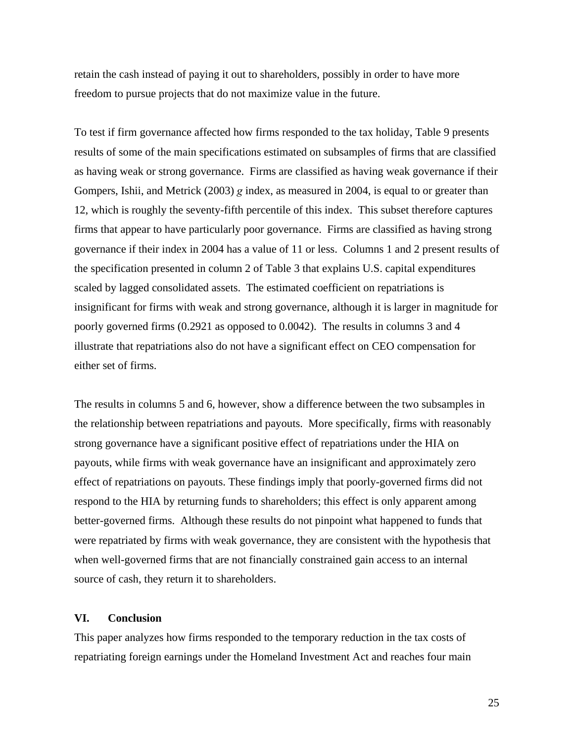retain the cash instead of paying it out to shareholders, possibly in order to have more freedom to pursue projects that do not maximize value in the future.

To test if firm governance affected how firms responded to the tax holiday, Table 9 presents results of some of the main specifications estimated on subsamples of firms that are classified as having weak or strong governance. Firms are classified as having weak governance if their Gompers, Ishii, and Metrick (2003) *g* index, as measured in 2004, is equal to or greater than 12, which is roughly the seventy-fifth percentile of this index. This subset therefore captures firms that appear to have particularly poor governance. Firms are classified as having strong governance if their index in 2004 has a value of 11 or less. Columns 1 and 2 present results of the specification presented in column 2 of Table 3 that explains U.S. capital expenditures scaled by lagged consolidated assets. The estimated coefficient on repatriations is insignificant for firms with weak and strong governance, although it is larger in magnitude for poorly governed firms (0.2921 as opposed to 0.0042). The results in columns 3 and 4 illustrate that repatriations also do not have a significant effect on CEO compensation for either set of firms.

The results in columns 5 and 6, however, show a difference between the two subsamples in the relationship between repatriations and payouts. More specifically, firms with reasonably strong governance have a significant positive effect of repatriations under the HIA on payouts, while firms with weak governance have an insignificant and approximately zero effect of repatriations on payouts. These findings imply that poorly-governed firms did not respond to the HIA by returning funds to shareholders; this effect is only apparent among better-governed firms. Although these results do not pinpoint what happened to funds that were repatriated by firms with weak governance, they are consistent with the hypothesis that when well-governed firms that are not financially constrained gain access to an internal source of cash, they return it to shareholders.

### **VI. Conclusion**

This paper analyzes how firms responded to the temporary reduction in the tax costs of repatriating foreign earnings under the Homeland Investment Act and reaches four main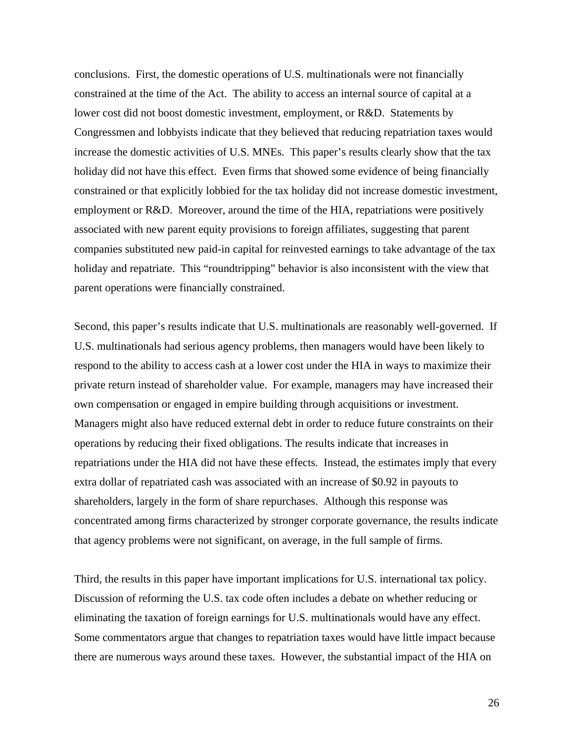conclusions. First, the domestic operations of U.S. multinationals were not financially constrained at the time of the Act. The ability to access an internal source of capital at a lower cost did not boost domestic investment, employment, or R&D. Statements by Congressmen and lobbyists indicate that they believed that reducing repatriation taxes would increase the domestic activities of U.S. MNEs. This paper's results clearly show that the tax holiday did not have this effect. Even firms that showed some evidence of being financially constrained or that explicitly lobbied for the tax holiday did not increase domestic investment, employment or R&D. Moreover, around the time of the HIA, repatriations were positively associated with new parent equity provisions to foreign affiliates, suggesting that parent companies substituted new paid-in capital for reinvested earnings to take advantage of the tax holiday and repatriate. This "roundtripping" behavior is also inconsistent with the view that parent operations were financially constrained.

Second, this paper's results indicate that U.S. multinationals are reasonably well-governed. If U.S. multinationals had serious agency problems, then managers would have been likely to respond to the ability to access cash at a lower cost under the HIA in ways to maximize their private return instead of shareholder value. For example, managers may have increased their own compensation or engaged in empire building through acquisitions or investment. Managers might also have reduced external debt in order to reduce future constraints on their operations by reducing their fixed obligations. The results indicate that increases in repatriations under the HIA did not have these effects. Instead, the estimates imply that every extra dollar of repatriated cash was associated with an increase of \$0.92 in payouts to shareholders, largely in the form of share repurchases. Although this response was concentrated among firms characterized by stronger corporate governance, the results indicate that agency problems were not significant, on average, in the full sample of firms.

Third, the results in this paper have important implications for U.S. international tax policy. Discussion of reforming the U.S. tax code often includes a debate on whether reducing or eliminating the taxation of foreign earnings for U.S. multinationals would have any effect. Some commentators argue that changes to repatriation taxes would have little impact because there are numerous ways around these taxes. However, the substantial impact of the HIA on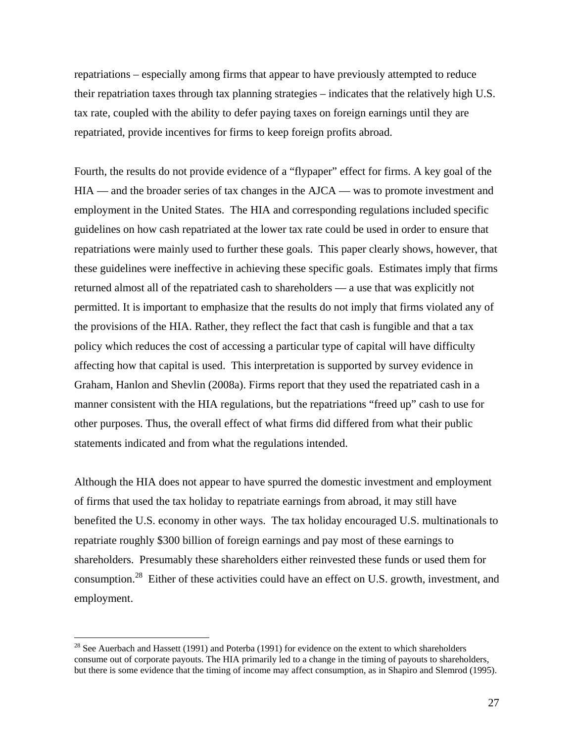repatriations – especially among firms that appear to have previously attempted to reduce their repatriation taxes through tax planning strategies – indicates that the relatively high U.S. tax rate, coupled with the ability to defer paying taxes on foreign earnings until they are repatriated, provide incentives for firms to keep foreign profits abroad.

Fourth, the results do not provide evidence of a "flypaper" effect for firms. A key goal of the HIA — and the broader series of tax changes in the AJCA — was to promote investment and employment in the United States. The HIA and corresponding regulations included specific guidelines on how cash repatriated at the lower tax rate could be used in order to ensure that repatriations were mainly used to further these goals. This paper clearly shows, however, that these guidelines were ineffective in achieving these specific goals. Estimates imply that firms returned almost all of the repatriated cash to shareholders — a use that was explicitly not permitted. It is important to emphasize that the results do not imply that firms violated any of the provisions of the HIA. Rather, they reflect the fact that cash is fungible and that a tax policy which reduces the cost of accessing a particular type of capital will have difficulty affecting how that capital is used. This interpretation is supported by survey evidence in Graham, Hanlon and Shevlin (2008a). Firms report that they used the repatriated cash in a manner consistent with the HIA regulations, but the repatriations "freed up" cash to use for other purposes. Thus, the overall effect of what firms did differed from what their public statements indicated and from what the regulations intended.

Although the HIA does not appear to have spurred the domestic investment and employment of firms that used the tax holiday to repatriate earnings from abroad, it may still have benefited the U.S. economy in other ways. The tax holiday encouraged U.S. multinationals to repatriate roughly \$300 billion of foreign earnings and pay most of these earnings to shareholders. Presumably these shareholders either reinvested these funds or used them for consumption.<sup>28</sup> Either of these activities could have an effect on U.S. growth, investment, and employment.

 $28$  See Auerbach and Hassett (1991) and Poterba (1991) for evidence on the extent to which shareholders consume out of corporate payouts. The HIA primarily led to a change in the timing of payouts to shareholders, but there is some evidence that the timing of income may affect consumption, as in Shapiro and Slemrod (1995).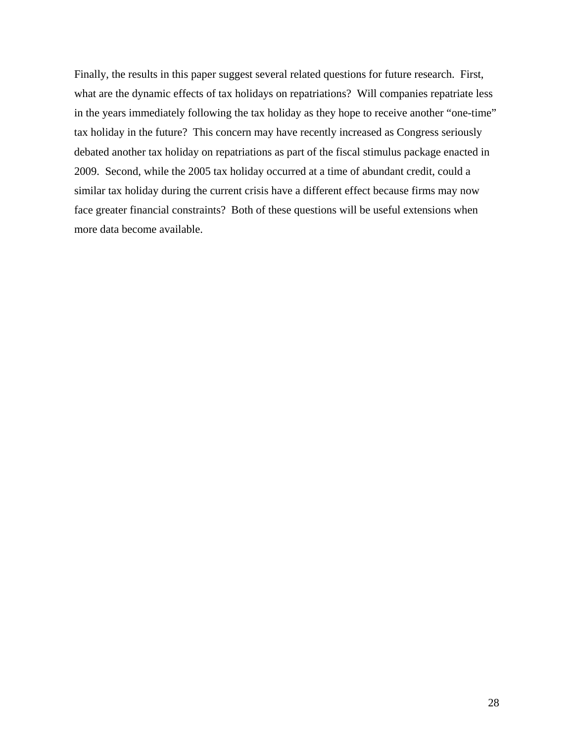Finally, the results in this paper suggest several related questions for future research. First, what are the dynamic effects of tax holidays on repatriations? Will companies repatriate less in the years immediately following the tax holiday as they hope to receive another "one-time" tax holiday in the future? This concern may have recently increased as Congress seriously debated another tax holiday on repatriations as part of the fiscal stimulus package enacted in 2009. Second, while the 2005 tax holiday occurred at a time of abundant credit, could a similar tax holiday during the current crisis have a different effect because firms may now face greater financial constraints? Both of these questions will be useful extensions when more data become available.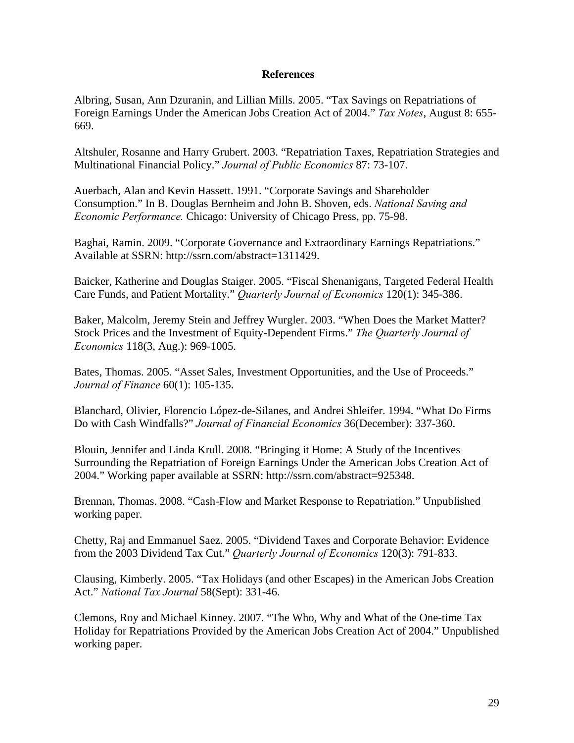# **References**

Albring, Susan, Ann Dzuranin, and Lillian Mills. 2005. "Tax Savings on Repatriations of Foreign Earnings Under the American Jobs Creation Act of 2004." *Tax Notes*, August 8: 655- 669.

Altshuler, Rosanne and Harry Grubert. 2003. "Repatriation Taxes, Repatriation Strategies and Multinational Financial Policy." *Journal of Public Economics* 87: 73-107.

Auerbach, Alan and Kevin Hassett. 1991. "Corporate Savings and Shareholder Consumption." In B. Douglas Bernheim and John B. Shoven, eds. *National Saving and Economic Performance.* Chicago: University of Chicago Press, pp. 75-98.

Baghai, Ramin. 2009. "Corporate Governance and Extraordinary Earnings Repatriations." Available at SSRN: http://ssrn.com/abstract=1311429.

Baicker, Katherine and Douglas Staiger. 2005. "Fiscal Shenanigans, Targeted Federal Health Care Funds, and Patient Mortality." *Quarterly Journal of Economics* 120(1): 345-386.

Baker, Malcolm, Jeremy Stein and Jeffrey Wurgler. 2003. "When Does the Market Matter? Stock Prices and the Investment of Equity-Dependent Firms." *The Quarterly Journal of Economics* 118(3, Aug.): 969-1005.

Bates, Thomas. 2005. "Asset Sales, Investment Opportunities, and the Use of Proceeds." *Journal of Finance* 60(1): 105-135.

Blanchard, Olivier, Florencio López-de-Silanes, and Andrei Shleifer. 1994. "What Do Firms Do with Cash Windfalls?" *Journal of Financial Economics* 36(December): 337-360.

Blouin, Jennifer and Linda Krull. 2008. "Bringing it Home: A Study of the Incentives Surrounding the Repatriation of Foreign Earnings Under the American Jobs Creation Act of 2004." Working paper available at SSRN: http://ssrn.com/abstract=925348.

Brennan, Thomas. 2008. "Cash-Flow and Market Response to Repatriation." Unpublished working paper.

Chetty, Raj and Emmanuel Saez. 2005. "Dividend Taxes and Corporate Behavior: Evidence from the 2003 Dividend Tax Cut." *Quarterly Journal of Economics* 120(3): 791-833.

Clausing, Kimberly. 2005. "Tax Holidays (and other Escapes) in the American Jobs Creation Act." *National Tax Journal* 58(Sept): 331-46.

Clemons, Roy and Michael Kinney. 2007. "The Who, Why and What of the One-time Tax Holiday for Repatriations Provided by the American Jobs Creation Act of 2004." Unpublished working paper.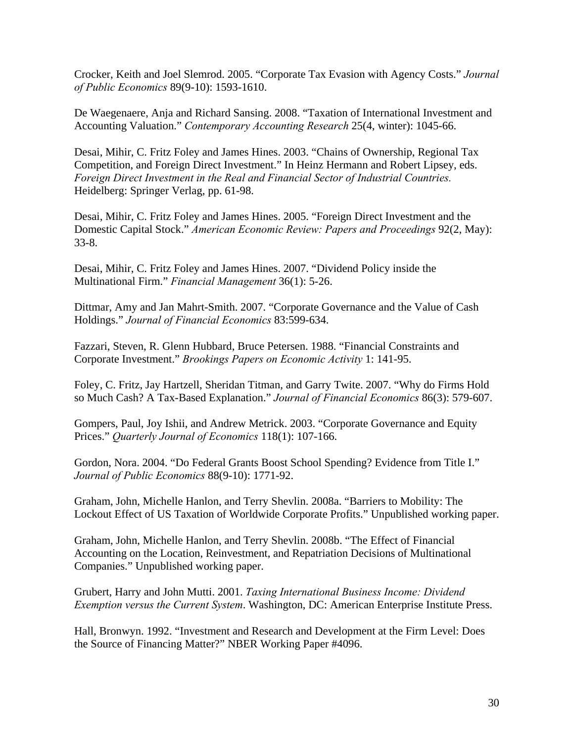Crocker, Keith and Joel Slemrod. 2005. "Corporate Tax Evasion with Agency Costs." *Journal of Public Economics* 89(9-10): 1593-1610.

De Waegenaere, Anja and Richard Sansing. 2008. "Taxation of International Investment and Accounting Valuation." *Contemporary Accounting Research* 25(4, winter): 1045-66.

Desai, Mihir, C. Fritz Foley and James Hines. 2003. "Chains of Ownership, Regional Tax Competition, and Foreign Direct Investment." In Heinz Hermann and Robert Lipsey, eds. *Foreign Direct Investment in the Real and Financial Sector of Industrial Countries.*  Heidelberg: Springer Verlag, pp. 61-98.

Desai, Mihir, C. Fritz Foley and James Hines. 2005. "Foreign Direct Investment and the Domestic Capital Stock." *American Economic Review: Papers and Proceedings* 92(2, May): 33-8.

Desai, Mihir, C. Fritz Foley and James Hines. 2007. "Dividend Policy inside the Multinational Firm." *Financial Management* 36(1): 5-26.

Dittmar, Amy and Jan Mahrt-Smith. 2007. "Corporate Governance and the Value of Cash Holdings." *Journal of Financial Economics* 83:599-634.

Fazzari, Steven, R. Glenn Hubbard, Bruce Petersen. 1988. "Financial Constraints and Corporate Investment." *Brookings Papers on Economic Activity* 1: 141-95.

Foley, C. Fritz, Jay Hartzell, Sheridan Titman, and Garry Twite. 2007. "Why do Firms Hold so Much Cash? A Tax-Based Explanation." *Journal of Financial Economics* 86(3): 579-607.

Gompers, Paul, Joy Ishii, and Andrew Metrick. 2003. "Corporate Governance and Equity Prices." *Quarterly Journal of Economics* 118(1): 107-166.

Gordon, Nora. 2004. "Do Federal Grants Boost School Spending? Evidence from Title I." *Journal of Public Economics* 88(9-10): 1771-92.

Graham, John, Michelle Hanlon, and Terry Shevlin. 2008a. "Barriers to Mobility: The Lockout Effect of US Taxation of Worldwide Corporate Profits." Unpublished working paper.

Graham, John, Michelle Hanlon, and Terry Shevlin. 2008b. "The Effect of Financial Accounting on the Location, Reinvestment, and Repatriation Decisions of Multinational Companies." Unpublished working paper.

Grubert, Harry and John Mutti. 2001. *Taxing International Business Income: Dividend Exemption versus the Current System*. Washington, DC: American Enterprise Institute Press.

Hall, Bronwyn. 1992. "Investment and Research and Development at the Firm Level: Does the Source of Financing Matter?" NBER Working Paper #4096.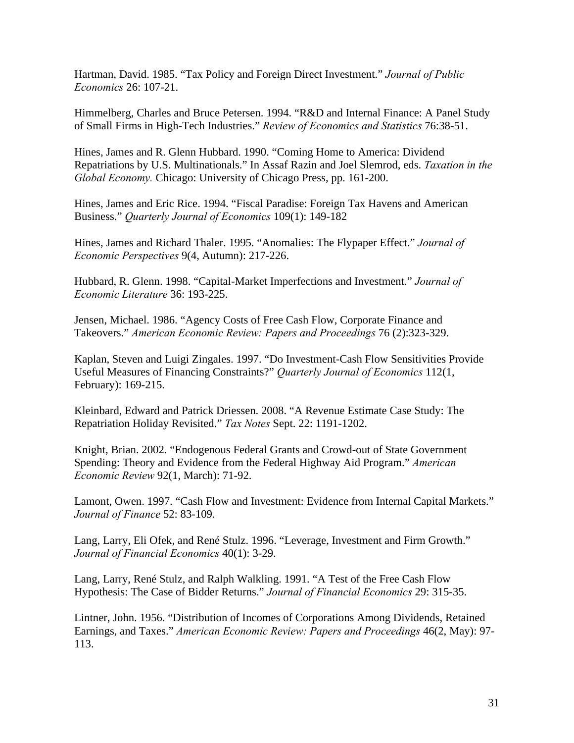Hartman, David. 1985. "Tax Policy and Foreign Direct Investment." *Journal of Public Economics* 26: 107-21.

Himmelberg, Charles and Bruce Petersen. 1994. "R&D and Internal Finance: A Panel Study of Small Firms in High-Tech Industries." *Review of Economics and Statistics* 76:38-51.

Hines, James and R. Glenn Hubbard. 1990. "Coming Home to America: Dividend Repatriations by U.S. Multinationals." In Assaf Razin and Joel Slemrod, eds. *Taxation in the Global Economy.* Chicago: University of Chicago Press, pp. 161-200.

Hines, James and Eric Rice. 1994. "Fiscal Paradise: Foreign Tax Havens and American Business." *Quarterly Journal of Economics* 109(1): 149-182

Hines, James and Richard Thaler. 1995. "Anomalies: The Flypaper Effect." *Journal of Economic Perspectives* 9(4, Autumn): 217-226.

Hubbard, R. Glenn. 1998. "Capital-Market Imperfections and Investment." *Journal of Economic Literature* 36: 193-225.

Jensen, Michael. 1986. "Agency Costs of Free Cash Flow, Corporate Finance and Takeovers." *American Economic Review: Papers and Proceedings* 76 (2):323-329.

Kaplan, Steven and Luigi Zingales. 1997. "Do Investment-Cash Flow Sensitivities Provide Useful Measures of Financing Constraints?" *Quarterly Journal of Economics* 112(1, February): 169-215.

Kleinbard, Edward and Patrick Driessen. 2008. "A Revenue Estimate Case Study: The Repatriation Holiday Revisited." *Tax Notes* Sept. 22: 1191-1202.

Knight, Brian. 2002. "Endogenous Federal Grants and Crowd-out of State Government Spending: Theory and Evidence from the Federal Highway Aid Program." *American Economic Review* 92(1, March): 71-92.

Lamont, Owen. 1997. "Cash Flow and Investment: Evidence from Internal Capital Markets." *Journal of Finance* 52: 83-109.

Lang, Larry, Eli Ofek, and René Stulz. 1996. "Leverage, Investment and Firm Growth." *Journal of Financial Economics* 40(1): 3-29.

Lang, Larry, René Stulz, and Ralph Walkling. 1991. "A Test of the Free Cash Flow Hypothesis: The Case of Bidder Returns." *Journal of Financial Economics* 29: 315-35.

Lintner, John. 1956. "Distribution of Incomes of Corporations Among Dividends, Retained Earnings, and Taxes." *American Economic Review: Papers and Proceedings* 46(2, May): 97- 113.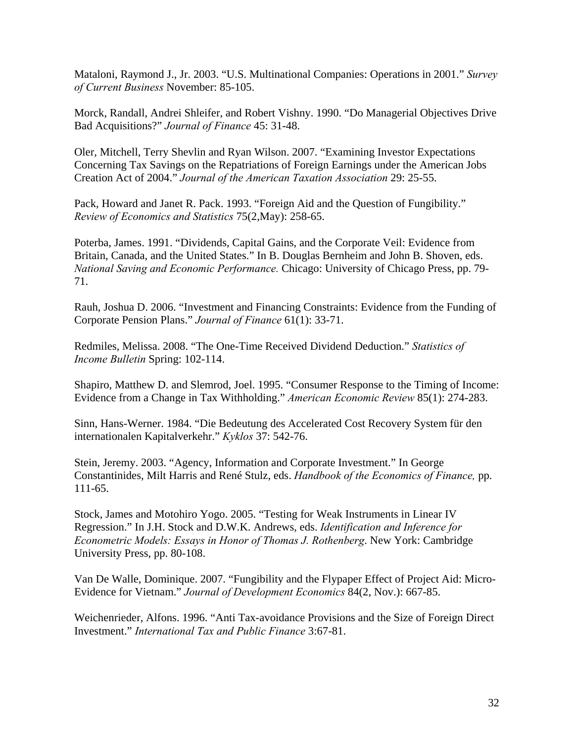Mataloni, Raymond J., Jr. 2003. "U.S. Multinational Companies: Operations in 2001." *Survey of Current Business* November: 85-105.

Morck, Randall, Andrei Shleifer, and Robert Vishny. 1990. "Do Managerial Objectives Drive Bad Acquisitions?" *Journal of Finance* 45: 31-48.

Oler, Mitchell, Terry Shevlin and Ryan Wilson. 2007. "Examining Investor Expectations Concerning Tax Savings on the Repatriations of Foreign Earnings under the American Jobs Creation Act of 2004." *Journal of the American Taxation Association* 29: 25-55.

Pack, Howard and Janet R. Pack. 1993. "Foreign Aid and the Question of Fungibility." *Review of Economics and Statistics* 75(2,May): 258-65.

Poterba, James. 1991. "Dividends, Capital Gains, and the Corporate Veil: Evidence from Britain, Canada, and the United States." In B. Douglas Bernheim and John B. Shoven, eds. *National Saving and Economic Performance.* Chicago: University of Chicago Press, pp. 79- 71.

Rauh, Joshua D. 2006. "Investment and Financing Constraints: Evidence from the Funding of Corporate Pension Plans." *Journal of Finance* 61(1): 33-71.

Redmiles, Melissa. 2008. "The One-Time Received Dividend Deduction." *Statistics of Income Bulletin* Spring: 102-114.

Shapiro, Matthew D. and Slemrod, Joel. 1995. "Consumer Response to the Timing of Income: Evidence from a Change in Tax Withholding." *American Economic Review* 85(1): 274-283.

Sinn, Hans-Werner. 1984. "Die Bedeutung des Accelerated Cost Recovery System für den internationalen Kapitalverkehr." *Kyklos* 37: 542-76.

Stein, Jeremy. 2003. "Agency, Information and Corporate Investment." In George Constantinides, Milt Harris and René Stulz, eds. *Handbook of the Economics of Finance,* pp. 111-65.

Stock, James and Motohiro Yogo. 2005. "Testing for Weak Instruments in Linear IV Regression." In J.H. Stock and D.W.K. Andrews, eds. *Identification and Inference for Econometric Models: Essays in Honor of Thomas J. Rothenberg*. New York: Cambridge University Press, pp. 80-108.

Van De Walle, Dominique. 2007. "Fungibility and the Flypaper Effect of Project Aid: Micro-Evidence for Vietnam." *Journal of Development Economics* 84(2, Nov.): 667-85.

Weichenrieder, Alfons. 1996. "Anti Tax-avoidance Provisions and the Size of Foreign Direct Investment." *International Tax and Public Finance* 3:67-81.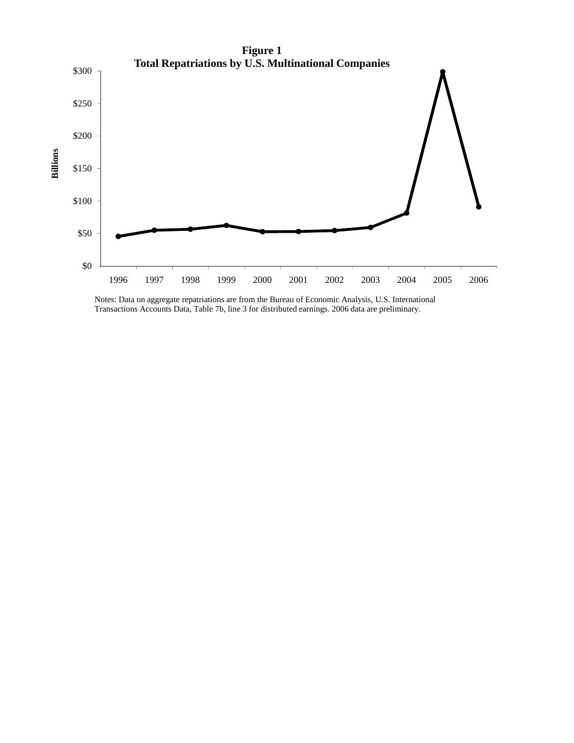

Notes: Data on aggregate repatriations are from the Bureau of Economic Analysis, U.S. International Transactions Accounts Data, Table 7b, line 3 for distributed earnings. 2006 data are preliminary.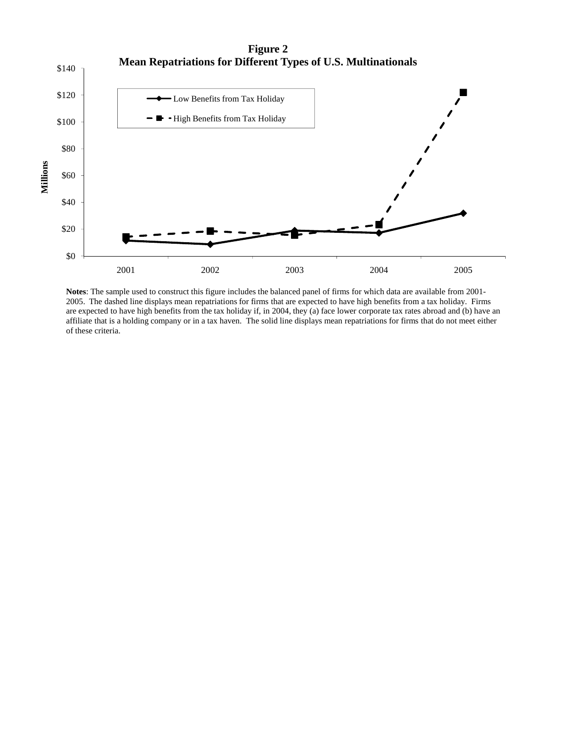

**Notes**: The sample used to construct this figure includes the balanced panel of firms for which data are available from 2001- 2005. The dashed line displays mean repatriations for firms that are expected to have high benefits from a tax holiday. Firms are expected to have high benefits from the tax holiday if, in 2004, they (a) face lower corporate tax rates abroad and (b) have an affiliate that is a holding company or in a tax haven. The solid line displays mean repatriations for firms that do not meet either of these criteria.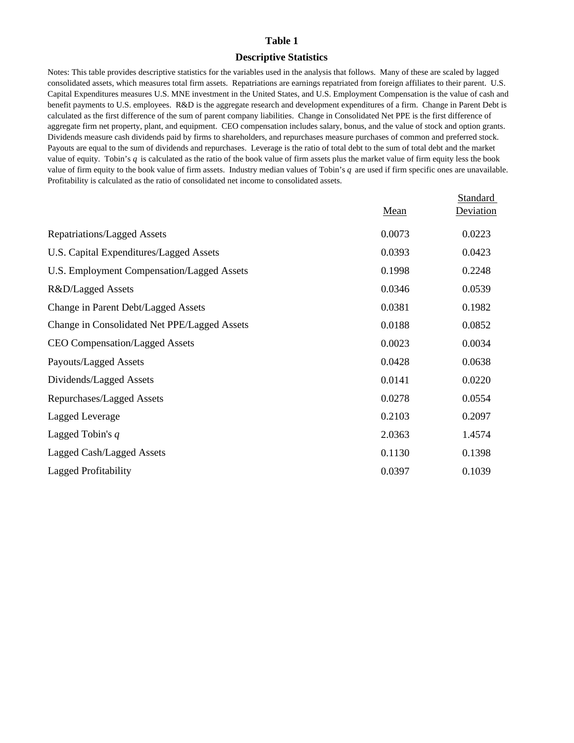#### **Descriptive Statistics**

Notes: This table provides descriptive statistics for the variables used in the analysis that follows. Many of these are scaled by lagged consolidated assets, which measures total firm assets. Repatriations are earnings repatriated from foreign affiliates to their parent. U.S. Capital Expenditures measures U.S. MNE investment in the United States, and U.S. Employment Compensation is the value of cash and benefit payments to U.S. employees. R&D is the aggregate research and development expenditures of a firm. Change in Parent Debt is calculated as the first difference of the sum of parent company liabilities. Change in Consolidated Net PPE is the first difference of aggregate firm net property, plant, and equipment. CEO compensation includes salary, bonus, and the value of stock and option grants. Dividends measure cash dividends paid by firms to shareholders, and repurchases measure purchases of common and preferred stock. Payouts are equal to the sum of dividends and repurchases. Leverage is the ratio of total debt to the sum of total debt and the market value of equity. Tobin's *q* is calculated as the ratio of the book value of firm assets plus the market value of firm equity less the book value of firm equity to the book value of firm assets. Industry median values of Tobin's *q* are used if firm specific ones are unavailable. Profitability is calculated as the ratio of consolidated net income to consolidated assets.

|                                              |        | Standard  |
|----------------------------------------------|--------|-----------|
|                                              | Mean   | Deviation |
| Repatriations/Lagged Assets                  | 0.0073 | 0.0223    |
| U.S. Capital Expenditures/Lagged Assets      | 0.0393 | 0.0423    |
| U.S. Employment Compensation/Lagged Assets   | 0.1998 | 0.2248    |
| R&D/Lagged Assets                            | 0.0346 | 0.0539    |
| Change in Parent Debt/Lagged Assets          | 0.0381 | 0.1982    |
| Change in Consolidated Net PPE/Lagged Assets | 0.0188 | 0.0852    |
| <b>CEO Compensation/Lagged Assets</b>        | 0.0023 | 0.0034    |
| Payouts/Lagged Assets                        | 0.0428 | 0.0638    |
| Dividends/Lagged Assets                      | 0.0141 | 0.0220    |
| Repurchases/Lagged Assets                    | 0.0278 | 0.0554    |
| Lagged Leverage                              | 0.2103 | 0.2097    |
| Lagged Tobin's $q$                           | 2.0363 | 1.4574    |
| Lagged Cash/Lagged Assets                    | 0.1130 | 0.1398    |
| Lagged Profitability                         | 0.0397 | 0.1039    |
|                                              |        |           |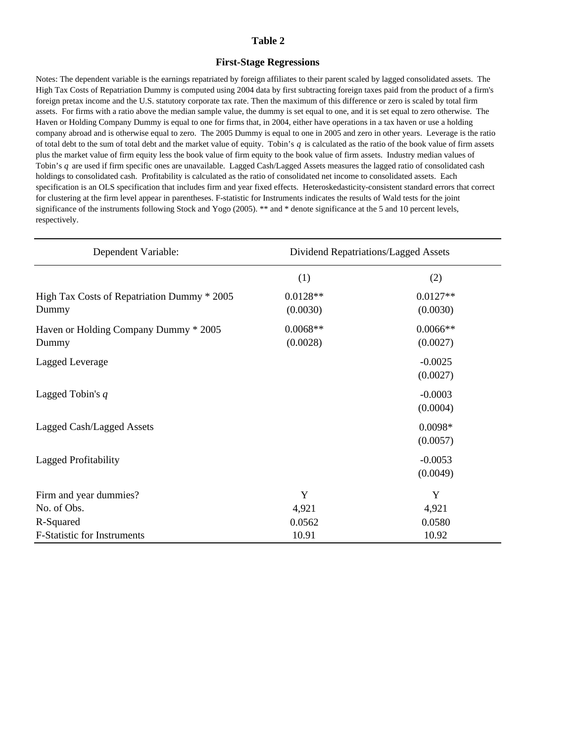### **First-Stage Regressions**

Notes: The dependent variable is the earnings repatriated by foreign affiliates to their parent scaled by lagged consolidated assets. The High Tax Costs of Repatriation Dummy is computed using 2004 data by first subtracting foreign taxes paid from the product of a firm's foreign pretax income and the U.S. statutory corporate tax rate. Then the maximum of this difference or zero is scaled by total firm assets. For firms with a ratio above the median sample value, the dummy is set equal to one, and it is set equal to zero otherwise. The Haven or Holding Company Dummy is equal to one for firms that, in 2004, either have operations in a tax haven or use a holding company abroad and is otherwise equal to zero. The 2005 Dummy is equal to one in 2005 and zero in other years. Leverage is the ratio of total debt to the sum of total debt and the market value of equity. Tobin's *q* is calculated as the ratio of the book value of firm assets plus the market value of firm equity less the book value of firm equity to the book value of firm assets. Industry median values of Tobin's *q* are used if firm specific ones are unavailable. Lagged Cash/Lagged Assets measures the lagged ratio of consolidated cash holdings to consolidated cash. Profitability is calculated as the ratio of consolidated net income to consolidated assets. Each specification is an OLS specification that includes firm and year fixed effects. Heteroskedasticity-consistent standard errors that correct for clustering at the firm level appear in parentheses. F-statistic for Instruments indicates the results of Wald tests for the joint significance of the instruments following Stock and Yogo (2005). \*\* and \* denote significance at the 5 and 10 percent levels, respectively.

| Dependent Variable:                                  | Dividend Repatriations/Lagged Assets |                        |  |  |
|------------------------------------------------------|--------------------------------------|------------------------|--|--|
|                                                      | (1)                                  | (2)                    |  |  |
| High Tax Costs of Repatriation Dummy * 2005<br>Dummy | $0.0128**$<br>(0.0030)               | $0.0127**$<br>(0.0030) |  |  |
| Haven or Holding Company Dummy * 2005<br>Dummy       | $0.0068**$<br>(0.0028)               | $0.0066**$<br>(0.0027) |  |  |
| Lagged Leverage                                      |                                      | $-0.0025$<br>(0.0027)  |  |  |
| Lagged Tobin's $q$                                   |                                      | $-0.0003$<br>(0.0004)  |  |  |
| Lagged Cash/Lagged Assets                            |                                      | $0.0098*$<br>(0.0057)  |  |  |
| Lagged Profitability                                 |                                      | $-0.0053$<br>(0.0049)  |  |  |
| Firm and year dummies?                               | Y                                    | Y                      |  |  |
| No. of Obs.                                          | 4,921                                | 4,921                  |  |  |
| R-Squared                                            | 0.0562                               | 0.0580                 |  |  |
| F-Statistic for Instruments                          | 10.91                                | 10.92                  |  |  |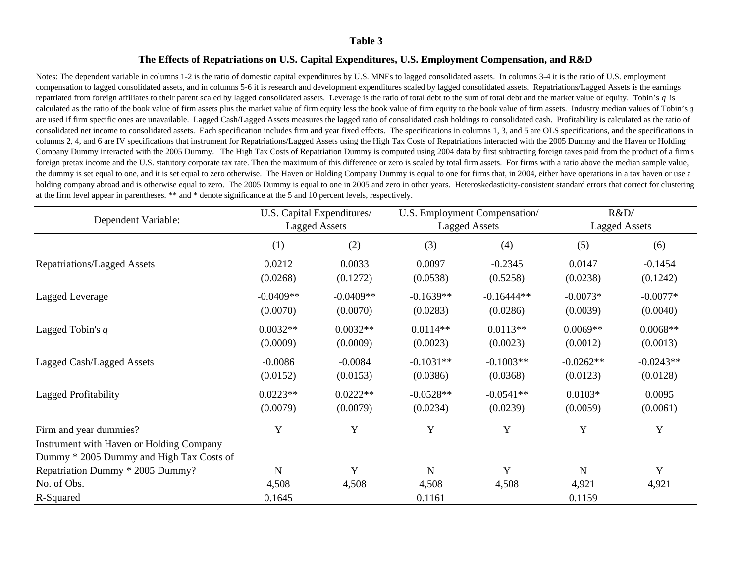### **The Effects of Repatriations on U.S. Capital Expenditures, U.S. Employment Compensation, and R&D**

Notes: The dependent variable in columns 1-2 is the ratio of domestic capital expenditures by U.S. MNEs to lagged consolidated assets. In columns 3-4 it is the ratio of U.S. employment compensation to lagged consolidated assets, and in columns 5-6 it is research and development expenditures scaled by lagged consolidated assets. Repatriations/Lagged Assets is the earnings repatriated from foreign affiliates to their parent scaled by lagged consolidated assets. Leverage is the ratio of total debt to the sum of total debt and the market value of equity. Tobin's q is calculated as the ratio of the book value of firm assets plus the market value of firm equity less the book value of firm equity to the book value of firm assets. Industry median values of Tobin's *q*  are used if firm specific ones are unavailable. Lagged Cash/Lagged Assets measures the lagged ratio of consolidated cash holdings to consolidated cash. Profitability is calculated as the ratio of consolidated net income to consolidated assets. Each specification includes firm and year fixed effects. The specifications in columns 1, 3, and 5 are OLS specifications, and the specifications in columns 2, 4, and 6 are IV specifications that instrument for Repatriations/Lagged Assets using the High Tax Costs of Repatriations interacted with the 2005 Dummy and the Haven or Holding Company Dummy interacted with the 2005 Dummy. The High Tax Costs of Repatriation Dummy is computed using 2004 data by first subtracting foreign taxes paid from the product of a firm's foreign pretax income and the U.S. statutory corporate tax rate. Then the maximum of this difference or zero is scaled by total firm assets. For firms with a ratio above the median sample value, the dummy is set equal to one, and it is set equal to zero otherwise. The Haven or Holding Company Dummy is equal to one for firms that, in 2004, either have operations in a tax haven or use a holding company abroad and is otherwise equal to zero. The 2005 Dummy is equal to one in 2005 and zero in other years. Heteroskedasticity-consistent standard errors that correct for clustering at the firm level appear in parentheses. \*\* and \* denote significance at the 5 and 10 percent levels, respectively.

| Dependent Variable:                      | U.S. Capital Expenditures/<br><b>Lagged Assets</b> |             | R&D<br>U.S. Employment Compensation/<br><b>Lagged Assets</b> |                      |             |             |
|------------------------------------------|----------------------------------------------------|-------------|--------------------------------------------------------------|----------------------|-------------|-------------|
|                                          |                                                    |             |                                                              | <b>Lagged Assets</b> |             |             |
|                                          | (1)                                                | (2)         | (3)                                                          | (4)                  | (5)         | (6)         |
| Repatriations/Lagged Assets              | 0.0212                                             | 0.0033      | 0.0097                                                       | $-0.2345$            | 0.0147      | $-0.1454$   |
|                                          | (0.0268)                                           | (0.1272)    | (0.0538)                                                     | (0.5258)             | (0.0238)    | (0.1242)    |
| Lagged Leverage                          | $-0.0409**$                                        | $-0.0409**$ | $-0.1639**$                                                  | $-0.16444**$         | $-0.0073*$  | $-0.0077*$  |
|                                          | (0.0070)                                           | (0.0070)    | (0.0283)                                                     | (0.0286)             | (0.0039)    | (0.0040)    |
| Lagged Tobin's $q$                       | $0.0032**$                                         | $0.0032**$  | $0.0114**$                                                   | $0.0113**$           | $0.0069**$  | $0.0068**$  |
|                                          | (0.0009)                                           | (0.0009)    | (0.0023)                                                     | (0.0023)             | (0.0012)    | (0.0013)    |
| Lagged Cash/Lagged Assets                | $-0.0086$                                          | $-0.0084$   | $-0.1031**$                                                  | $-0.1003**$          | $-0.0262**$ | $-0.0243**$ |
|                                          | (0.0152)                                           | (0.0153)    | (0.0386)                                                     | (0.0368)             | (0.0123)    | (0.0128)    |
| Lagged Profitability                     | $0.0223**$                                         | $0.0222**$  | $-0.0528**$                                                  | $-0.0541**$          | $0.0103*$   | 0.0095      |
|                                          | (0.0079)                                           | (0.0079)    | (0.0234)                                                     | (0.0239)             | (0.0059)    | (0.0061)    |
| Firm and year dummies?                   | Y                                                  | Y           | Y                                                            | $\mathbf Y$          | $\mathbf Y$ | Y           |
| Instrument with Haven or Holding Company |                                                    |             |                                                              |                      |             |             |
| Dummy * 2005 Dummy and High Tax Costs of |                                                    |             |                                                              |                      |             |             |
| Repatriation Dummy * 2005 Dummy?         | N                                                  | Y           | N                                                            | Y                    | $\mathbf N$ | Y           |
| No. of Obs.                              | 4,508                                              | 4,508       | 4,508                                                        | 4,508                | 4,921       | 4,921       |
| R-Squared                                | 0.1645                                             |             | 0.1161                                                       |                      | 0.1159      |             |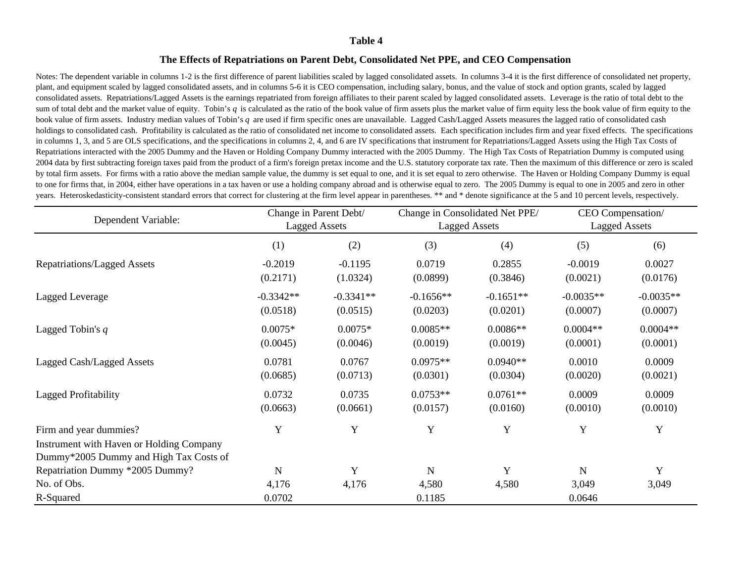### **The Effects of Repatriations on Parent Debt, Consolidated Net PPE, and CEO Compensation**

Notes: The dependent variable in columns 1-2 is the first difference of parent liabilities scaled by lagged consolidated assets. In columns 3-4 it is the first difference of consolidated net property, plant, and equipment scaled by lagged consolidated assets, and in columns 5-6 it is CEO compensation, including salary, bonus, and the value of stock and option grants, scaled by lagged consolidated assets. Repatriations/Lagged Assets is the earnings repatriated from foreign affiliates to their parent scaled by lagged consolidated assets. Leverage is the ratio of total debt to the sum of total debt and the market value of equity. Tobin's q is calculated as the ratio of the book value of firm assets plus the market value of firm equity less the book value of firm equity to the book value of firm assets. Industry median values of Tobin's *q* are used if firm specific ones are unavailable. Lagged Cash/Lagged Assets measures the lagged ratio of consolidated cash holdings to consolidated cash. Profitability is calculated as the ratio of consolidated net income to consolidated assets. Each specification includes firm and year fixed effects. The specifications in columns 1, 3, and 5 are OLS specifications, and the specifications in columns 2, 4, and 6 are IV specifications that instrument for Repatriations/Lagged Assets using the High Tax Costs of Repatriations interacted with the 2005 Dummy and the Haven or Holding Company Dummy interacted with the 2005 Dummy. The High Tax Costs of Repatriation Dummy is computed using 2004 data by first subtracting foreign taxes paid from the product of a firm's foreign pretax income and the U.S. statutory corporate tax rate. Then the maximum of this difference or zero is scaled by total firm assets. For firms with a ratio above the median sample value, the dummy is set equal to one, and it is set equal to zero otherwise. The Haven or Holding Company Dummy is equal to one for firms that, in 2004, either have operations in a tax haven or use a holding company abroad and is otherwise equal to zero. The 2005 Dummy is equal to one in 2005 and zero in other years. Heteroskedasticity-consistent standard errors that correct for clustering at the firm level appear in parentheses. \*\* and \* denote significance at the 5 and 10 percent levels, respectively.

|                                          | Change in Parent Debt/ |                      | Change in Consolidated Net PPE/ |             | CEO Compensation/    |             |
|------------------------------------------|------------------------|----------------------|---------------------------------|-------------|----------------------|-------------|
| Dependent Variable:                      |                        | <b>Lagged Assets</b> | <b>Lagged Assets</b>            |             | <b>Lagged Assets</b> |             |
|                                          | (1)                    | (2)                  | (3)                             | (4)         | (5)                  | (6)         |
| <b>Repatriations/Lagged Assets</b>       | $-0.2019$              | $-0.1195$            | 0.0719                          | 0.2855      | $-0.0019$            | 0.0027      |
|                                          | (0.2171)               | (1.0324)             | (0.0899)                        | (0.3846)    | (0.0021)             | (0.0176)    |
| Lagged Leverage                          | $-0.3342**$            | $-0.3341**$          | $-0.1656**$                     | $-0.1651**$ | $-0.0035**$          | $-0.0035**$ |
|                                          | (0.0518)               | (0.0515)             | (0.0203)                        | (0.0201)    | (0.0007)             | (0.0007)    |
| Lagged Tobin's $q$                       | $0.0075*$              | $0.0075*$            | $0.0085**$                      | $0.0086**$  | $0.0004**$           | $0.0004**$  |
|                                          | (0.0045)               | (0.0046)             | (0.0019)                        | (0.0019)    | (0.0001)             | (0.0001)    |
| Lagged Cash/Lagged Assets                | 0.0781                 | 0.0767               | $0.0975**$                      | $0.0940**$  | 0.0010               | 0.0009      |
|                                          | (0.0685)               | (0.0713)             | (0.0301)                        | (0.0304)    | (0.0020)             | (0.0021)    |
| <b>Lagged Profitability</b>              | 0.0732                 | 0.0735               | $0.0753**$                      | $0.0761**$  | 0.0009               | 0.0009      |
|                                          | (0.0663)               | (0.0661)             | (0.0157)                        | (0.0160)    | (0.0010)             | (0.0010)    |
| Firm and year dummies?                   | Y                      | Y                    | Y                               | Y           | Y                    | Y           |
| Instrument with Haven or Holding Company |                        |                      |                                 |             |                      |             |
| Dummy*2005 Dummy and High Tax Costs of   |                        |                      |                                 |             |                      |             |
| Repatriation Dummy *2005 Dummy?          | N                      | Y                    | N                               | Y           | $\mathbf N$          | Y           |
| No. of Obs.                              | 4,176                  | 4,176                | 4,580                           | 4,580       | 3,049                | 3,049       |
| R-Squared                                | 0.0702                 |                      | 0.1185                          |             | 0.0646               |             |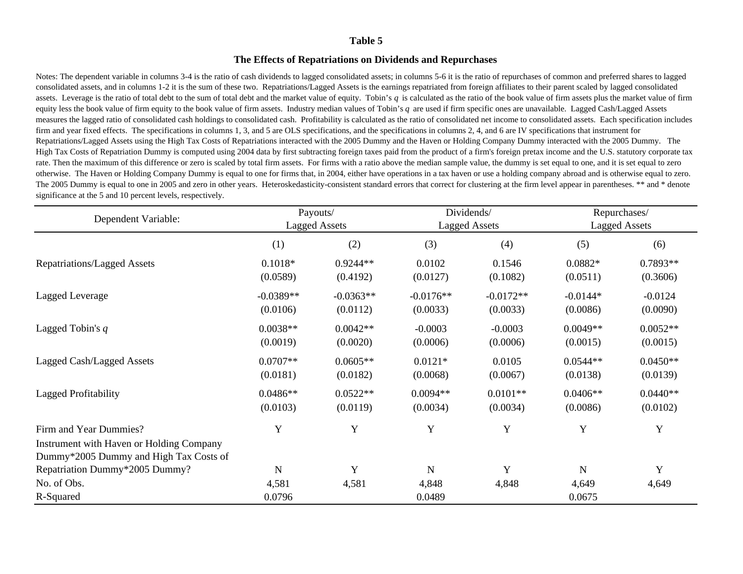### **The Effects of Repatriations on Dividends and Repurchases**

Notes: The dependent variable in columns 3-4 is the ratio of cash dividends to lagged consolidated assets; in columns 5-6 it is the ratio of repurchases of common and preferred shares to lagged consolidated assets, and in columns 1-2 it is the sum of these two. Repatriations/Lagged Assets is the earnings repatriated from foreign affiliates to their parent scaled by lagged consolidated assets. Leverage is the ratio of total debt to the sum of total debt and the market value of equity. Tobin's *q* is calculated as the ratio of the book value of firm assets plus the market value of firm equity less the book value of firm equity to the book value of firm assets. Industry median values of Tobin's *q* are used if firm specific ones are unavailable. Lagged Cash/Lagged Assets measures the lagged ratio of consolidated cash holdings to consolidated cash. Profitability is calculated as the ratio of consolidated net income to consolidated assets. Each specification includes firm and year fixed effects. The specifications in columns 1, 3, and 5 are OLS specifications, and the specifications in columns 2, 4, and 6 are IV specifications that instrument for Repatriations/Lagged Assets using the High Tax Costs of Repatriations interacted with the 2005 Dummy and the Haven or Holding Company Dummy interacted with the 2005 Dummy. The High Tax Costs of Repatriation Dummy is computed using 2004 data by first subtracting foreign taxes paid from the product of a firm's foreign pretax income and the U.S. statutory corporate tax rate. Then the maximum of this difference or zero is scaled by total firm assets. For firms with a ratio above the median sample value, the dummy is set equal to one, and it is set equal to zero otherwise. The Haven or Holding Company Dummy is equal to one for firms that, in 2004, either have operations in a tax haven or use a holding company abroad and is otherwise equal to zero. The 2005 Dummy is equal to one in 2005 and zero in other years. Heteroskedasticity-consistent standard errors that correct for clustering at the firm level appear in parentheses. \*\* and \* denote significance at the 5 and 10 percent levels, respectively.

| Dependent Variable:                      | Payouts/    |                      |                      | Dividends/  | Repurchases/<br><b>Lagged Assets</b> |            |
|------------------------------------------|-------------|----------------------|----------------------|-------------|--------------------------------------|------------|
|                                          |             | <b>Lagged Assets</b> | <b>Lagged Assets</b> |             |                                      |            |
|                                          | (1)         | (2)                  | (3)                  | (4)         | (5)                                  | (6)        |
| <b>Repatriations/Lagged Assets</b>       | $0.1018*$   | $0.9244**$           | 0.0102               | 0.1546      | $0.0882*$                            | 0.7893**   |
|                                          | (0.0589)    | (0.4192)             | (0.0127)             | (0.1082)    | (0.0511)                             | (0.3606)   |
| Lagged Leverage                          | $-0.0389**$ | $-0.0363**$          | $-0.0176**$          | $-0.0172**$ | $-0.0144*$                           | $-0.0124$  |
|                                          | (0.0106)    | (0.0112)             | (0.0033)             | (0.0033)    | (0.0086)                             | (0.0090)   |
| Lagged Tobin's $q$                       | $0.0038**$  | $0.0042**$           | $-0.0003$            | $-0.0003$   | $0.0049**$                           | $0.0052**$ |
|                                          | (0.0019)    | (0.0020)             | (0.0006)             | (0.0006)    | (0.0015)                             | (0.0015)   |
| Lagged Cash/Lagged Assets                | $0.0707**$  | $0.0605**$           | $0.0121*$            | 0.0105      | $0.0544**$                           | $0.0450**$ |
|                                          | (0.0181)    | (0.0182)             | (0.0068)             | (0.0067)    | (0.0138)                             | (0.0139)   |
| Lagged Profitability                     | $0.0486**$  | $0.0522**$           | $0.0094**$           | $0.0101**$  | $0.0406**$                           | $0.0440**$ |
|                                          | (0.0103)    | (0.0119)             | (0.0034)             | (0.0034)    | (0.0086)                             | (0.0102)   |
| Firm and Year Dummies?                   | Y           | Y                    | Y                    | $\mathbf Y$ | Y                                    | Y          |
| Instrument with Haven or Holding Company |             |                      |                      |             |                                      |            |
| Dummy*2005 Dummy and High Tax Costs of   |             |                      |                      |             |                                      |            |
| Repatriation Dummy*2005 Dummy?           | $\mathbf N$ | Y                    | N                    | Y           | $\mathbf N$                          | Y          |
| No. of Obs.                              | 4,581       | 4,581                | 4,848                | 4,848       | 4,649                                | 4,649      |
| R-Squared                                | 0.0796      |                      | 0.0489               |             | 0.0675                               |            |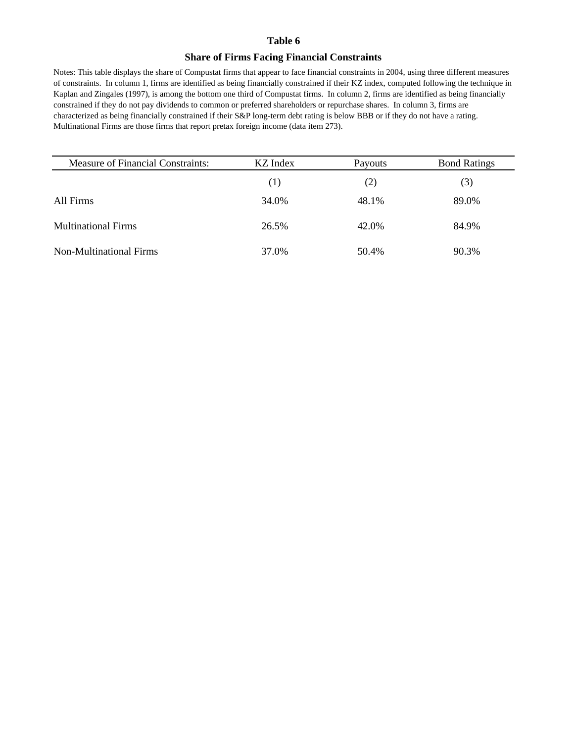### **Share of Firms Facing Financial Constraints**

Notes: This table displays the share of Compustat firms that appear to face financial constraints in 2004, using three different measures of constraints. In column 1, firms are identified as being financially constrained if their KZ index, computed following the technique in Kaplan and Zingales (1997), is among the bottom one third of Compustat firms. In column 2, firms are identified as being financially constrained if they do not pay dividends to common or preferred shareholders or repurchase shares. In column 3, firms are characterized as being financially constrained if their S&P long-term debt rating is below BBB or if they do not have a rating. Multinational Firms are those firms that report pretax foreign income (data item 273).

| <b>Measure of Financial Constraints:</b> | KZ Index | Payouts | <b>Bond Ratings</b> |
|------------------------------------------|----------|---------|---------------------|
|                                          | (1)      | (2)     | (3)                 |
| All Firms                                | 34.0%    | 48.1%   | 89.0%               |
| <b>Multinational Firms</b>               | 26.5%    | 42.0%   | 84.9%               |
| Non-Multinational Firms                  | 37.0%    | 50.4%   | 90.3%               |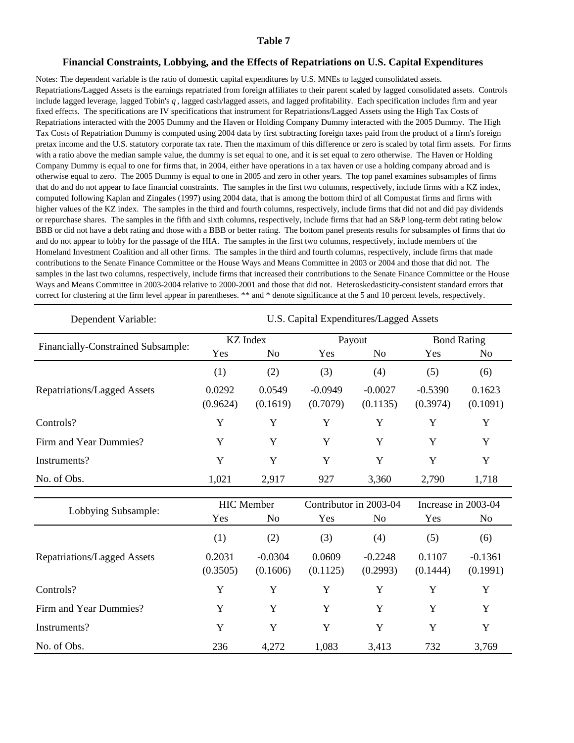#### **Financial Constraints, Lobbying, and the Effects of Repatriations on U.S. Capital Expenditures**

Notes: The dependent variable is the ratio of domestic capital expenditures by U.S. MNEs to lagged consolidated assets. Repatriations/Lagged Assets is the earnings repatriated from foreign affiliates to their parent scaled by lagged consolidated assets. Controls include lagged leverage, lagged Tobin's *q* , lagged cash/lagged assets, and lagged profitability. Each specification includes firm and year fixed effects. The specifications are IV specifications that instrument for Repatriations/Lagged Assets using the High Tax Costs of Repatriations interacted with the 2005 Dummy and the Haven or Holding Company Dummy interacted with the 2005 Dummy. The High Tax Costs of Repatriation Dummy is computed using 2004 data by first subtracting foreign taxes paid from the product of a firm's foreign pretax income and the U.S. statutory corporate tax rate. Then the maximum of this difference or zero is scaled by total firm assets. For firms with a ratio above the median sample value, the dummy is set equal to one, and it is set equal to zero otherwise. The Haven or Holding Company Dummy is equal to one for firms that, in 2004, either have operations in a tax haven or use a holding company abroad and is otherwise equal to zero. The 2005 Dummy is equal to one in 2005 and zero in other years. The top panel examines subsamples of firms that do and do not appear to face financial constraints. The samples in the first two columns, respectively, include firms with a KZ index, computed following Kaplan and Zingales (1997) using 2004 data, that is among the bottom third of all Compustat firms and firms with higher values of the KZ index. The samples in the third and fourth columns, respectively, include firms that did not and did pay dividends or repurchase shares. The samples in the fifth and sixth columns, respectively, include firms that had an S&P long-term debt rating below BBB or did not have a debt rating and those with a BBB or better rating. The bottom panel presents results for subsamples of firms that do and do not appear to lobby for the passage of the HIA. The samples in the first two columns, respectively, include members of the Homeland Investment Coalition and all other firms. The samples in the third and fourth columns, respectively, include firms that made contributions to the Senate Finance Committee or the House Ways and Means Committee in 2003 or 2004 and those that did not. The samples in the last two columns, respectively, include firms that increased their contributions to the Senate Finance Committee or the House Ways and Means Committee in 2003-2004 relative to 2000-2001 and those that did not. Heteroskedasticity-consistent standard errors that correct for clustering at the firm level appear in parentheses. \*\* and \* denote significance at the 5 and 10 percent levels, respectively.

| Dependent Variable:                | U.S. Capital Expenditures/Lagged Assets |                       |                                                 |                       |                       |                                       |  |
|------------------------------------|-----------------------------------------|-----------------------|-------------------------------------------------|-----------------------|-----------------------|---------------------------------------|--|
|                                    |                                         | <b>KZ</b> Index       |                                                 | Payout                |                       | <b>Bond Rating</b>                    |  |
| Financially-Constrained Subsample: | Yes                                     | N <sub>o</sub>        | Yes                                             | N <sub>o</sub>        | Yes                   | N <sub>o</sub>                        |  |
|                                    | (1)                                     | (2)                   | (3)                                             | (4)                   | (5)                   | (6)                                   |  |
| <b>Repatriations/Lagged Assets</b> | 0.0292<br>(0.9624)                      | 0.0549<br>(0.1619)    | $-0.0949$<br>(0.7079)                           | $-0.0027$<br>(0.1135) | $-0.5390$<br>(0.3974) | 0.1623<br>(0.1091)                    |  |
| Controls?                          | Y                                       | Y                     | Y                                               | Y                     | Y                     | Y                                     |  |
| Firm and Year Dummies?             | Y                                       | Y                     | Y                                               | Y                     | Y                     | Y                                     |  |
| Instruments?                       | Y                                       | Y                     | Y                                               | Y                     | Y                     | Y                                     |  |
| No. of Obs.                        | 1,021                                   | 2,917                 | 927                                             | 3,360                 | 2,790                 | 1,718                                 |  |
| Lobbying Subsample:                | HIC Member<br>Yes<br>N <sub>o</sub>     |                       | Contributor in 2003-04<br>Yes<br>N <sub>o</sub> |                       | Yes                   | Increase in 2003-04<br>N <sub>o</sub> |  |
|                                    | (1)                                     | (2)                   | (3)                                             | (4)                   | (5)                   | (6)                                   |  |
| <b>Repatriations/Lagged Assets</b> | 0.2031<br>(0.3505)                      | $-0.0304$<br>(0.1606) | 0.0609<br>(0.1125)                              | $-0.2248$<br>(0.2993) | 0.1107<br>(0.1444)    | $-0.1361$<br>(0.1991)                 |  |
| Controls?                          | Y                                       | Y                     | Y                                               | Y                     | Y                     | Y                                     |  |
| Firm and Year Dummies?             | Y                                       | Y                     | Y                                               | Y                     | Y                     | Y                                     |  |
| Instruments?                       | Y                                       | Y                     | Y                                               | Y                     | Y                     | Y                                     |  |
| No. of Obs.                        | 236                                     | 4,272                 | 1,083                                           | 3,413                 | 732                   | 3,769                                 |  |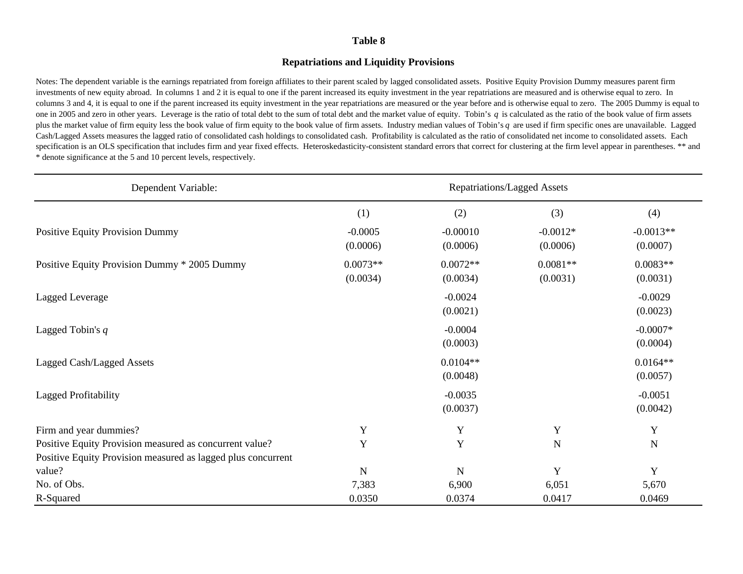### **Repatriations and Liquidity Provisions**

Notes: The dependent variable is the earnings repatriated from foreign affiliates to their parent scaled by lagged consolidated assets. Positive Equity Provision Dummy measures parent firm investments of new equity abroad. In columns 1 and 2 it is equal to one if the parent increased its equity investment in the year repatriations are measured and is otherwise equal to zero. In columns 3 and 4, it is equal to one if the parent increased its equity investment in the year repatriations are measured or the year before and is otherwise equal to zero. The 2005 Dummy is equal to one in 2005 and zero in other years. Leverage is the ratio of total debt to the sum of total debt and the market value of equity. Tobin's *q* is calculated as the ratio of the book value of firm assets plus the market value of firm equity less the book value of firm equity to the book value of firm assets. Industry median values of Tobin's *q* are used if firm specific ones are unavailable. Lagged Cash/Lagged Assets measures the lagged ratio of consolidated cash holdings to consolidated cash. Profitability is calculated as the ratio of consolidated net income to consolidated assets. Each specification is an OLS specification that includes firm and year fixed effects. Heteroskedasticity-consistent standard errors that correct for clustering at the firm level appear in parentheses. \*\* and \* denote significance at the 5 and 10 percent levels, respectively.

| Dependent Variable:                                          | <b>Repatriations/Lagged Assets</b> |                        |                        |                         |  |
|--------------------------------------------------------------|------------------------------------|------------------------|------------------------|-------------------------|--|
|                                                              | (1)                                | (2)                    | (3)                    | (4)                     |  |
| Positive Equity Provision Dummy                              | $-0.0005$<br>(0.0006)              | $-0.00010$<br>(0.0006) | $-0.0012*$<br>(0.0006) | $-0.0013**$<br>(0.0007) |  |
| Positive Equity Provision Dummy * 2005 Dummy                 | $0.0073**$<br>(0.0034)             | $0.0072**$<br>(0.0034) | $0.0081**$<br>(0.0031) | $0.0083**$<br>(0.0031)  |  |
| Lagged Leverage                                              |                                    | $-0.0024$<br>(0.0021)  |                        | $-0.0029$<br>(0.0023)   |  |
| Lagged Tobin's $q$                                           |                                    | $-0.0004$<br>(0.0003)  |                        | $-0.0007*$<br>(0.0004)  |  |
| Lagged Cash/Lagged Assets                                    |                                    | $0.0104**$<br>(0.0048) |                        | $0.0164**$<br>(0.0057)  |  |
| <b>Lagged Profitability</b>                                  |                                    | $-0.0035$<br>(0.0037)  |                        | $-0.0051$<br>(0.0042)   |  |
| Firm and year dummies?                                       | Y                                  | $\mathbf Y$            | Y                      | Y                       |  |
| Positive Equity Provision measured as concurrent value?      | Y                                  | $\mathbf Y$            | $\mathbf N$            | $\mathbf N$             |  |
| Positive Equity Provision measured as lagged plus concurrent |                                    |                        |                        |                         |  |
| value?                                                       | N                                  | ${\bf N}$              | Y                      | Y                       |  |
| No. of Obs.                                                  | 7,383                              | 6,900                  | 6,051                  | 5,670                   |  |
| R-Squared                                                    | 0.0350                             | 0.0374                 | 0.0417                 | 0.0469                  |  |